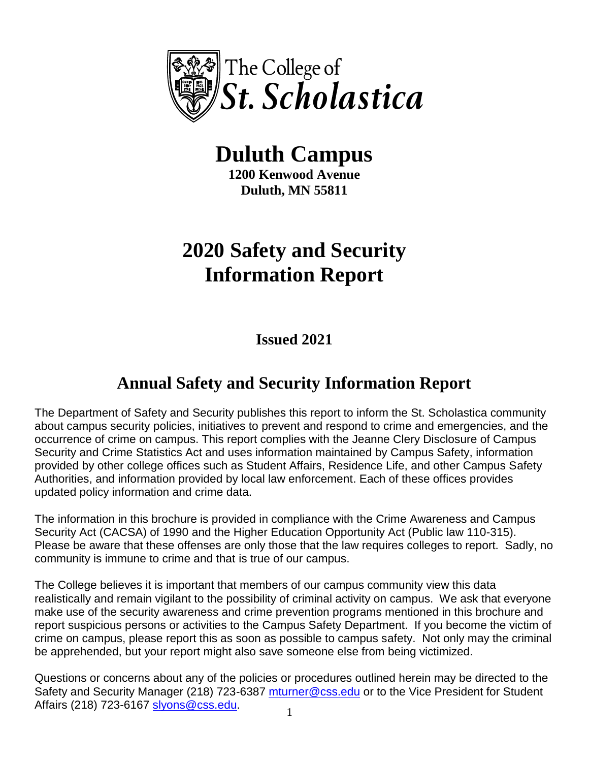

# **Duluth Campus**

**1200 Kenwood Avenue Duluth, MN 55811**

# **2020 Safety and Security Information Report**

**Issued 2021**

# **Annual Safety and Security Information Report**

The Department of Safety and Security publishes this report to inform the St. Scholastica community about campus security policies, initiatives to prevent and respond to crime and emergencies, and the occurrence of crime on campus. This report complies with the Jeanne Clery Disclosure of Campus Security and Crime Statistics Act and uses information maintained by Campus Safety, information provided by other college offices such as Student Affairs, Residence Life, and other Campus Safety Authorities, and information provided by local law enforcement. Each of these offices provides updated policy information and crime data.

The information in this brochure is provided in compliance with the Crime Awareness and Campus Security Act (CACSA) of 1990 and the Higher Education Opportunity Act (Public law 110-315). Please be aware that these offenses are only those that the law requires colleges to report. Sadly, no community is immune to crime and that is true of our campus.

The College believes it is important that members of our campus community view this data realistically and remain vigilant to the possibility of criminal activity on campus. We ask that everyone make use of the security awareness and crime prevention programs mentioned in this brochure and report suspicious persons or activities to the Campus Safety Department. If you become the victim of crime on campus, please report this as soon as possible to campus safety. Not only may the criminal be apprehended, but your report might also save someone else from being victimized.

Questions or concerns about any of the policies or procedures outlined herein may be directed to the Safety and Security Manager (218) 723-6387 [mturner@css.edu](mailto:mturner@css.edu) or to the Vice President for Student Affairs (218) 723-6167 [slyons@css.edu.](mailto:slyons@css.edu)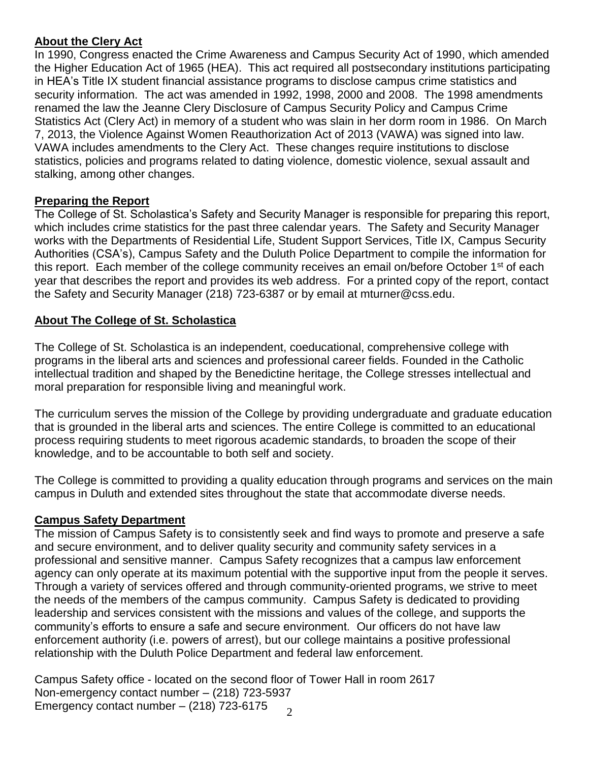#### **About the Clery Act**

In 1990, Congress enacted the Crime Awareness and Campus Security Act of 1990, which amended the Higher Education Act of 1965 (HEA). This act required all postsecondary institutions participating in HEA's Title IX student financial assistance programs to disclose campus crime statistics and security information. The act was amended in 1992, 1998, 2000 and 2008. The 1998 amendments renamed the law the Jeanne Clery Disclosure of Campus Security Policy and Campus Crime Statistics Act (Clery Act) in memory of a student who was slain in her dorm room in 1986. On March 7, 2013, the Violence Against Women Reauthorization Act of 2013 (VAWA) was signed into law. VAWA includes amendments to the Clery Act. These changes require institutions to disclose statistics, policies and programs related to dating violence, domestic violence, sexual assault and stalking, among other changes.

#### **Preparing the Report**

The College of St. Scholastica's Safety and Security Manager is responsible for preparing this report, which includes crime statistics for the past three calendar years. The Safety and Security Manager works with the Departments of Residential Life, Student Support Services, Title IX, Campus Security Authorities (CSA's), Campus Safety and the Duluth Police Department to compile the information for this report. Each member of the college community receives an email on/before October 1<sup>st</sup> of each year that describes the report and provides its web address. For a printed copy of the report, contact the Safety and Security Manager (218) 723-6387 or by email at mturner@css.edu.

# **About The College of St. Scholastica**

The College of St. Scholastica is an independent, coeducational, comprehensive college with programs in the liberal arts and sciences and professional career fields. Founded in the Catholic intellectual tradition and shaped by the Benedictine heritage, the College stresses intellectual and moral preparation for responsible living and meaningful work.

The curriculum serves the mission of the College by providing undergraduate and graduate education that is grounded in the liberal arts and sciences. The entire College is committed to an educational process requiring students to meet rigorous academic standards, to broaden the scope of their knowledge, and to be accountable to both self and society.

The College is committed to providing a quality education through programs and services on the main campus in Duluth and extended sites throughout the state that accommodate diverse needs.

#### **Campus Safety Department**

The mission of Campus Safety is to consistently seek and find ways to promote and preserve a safe and secure environment, and to deliver quality security and community safety services in a professional and sensitive manner. Campus Safety recognizes that a campus law enforcement agency can only operate at its maximum potential with the supportive input from the people it serves. Through a variety of services offered and through community-oriented programs, we strive to meet the needs of the members of the campus community. Campus Safety is dedicated to providing leadership and services consistent with the missions and values of the college, and supports the community's efforts to ensure a safe and secure environment. Our officers do not have law enforcement authority (i.e. powers of arrest), but our college maintains a positive professional relationship with the Duluth Police Department and federal law enforcement.

 $\mathcal{L}$ Campus Safety office - located on the second floor of Tower Hall in room 2617 Non-emergency contact number – (218) 723-5937 Emergency contact number – (218) 723-6175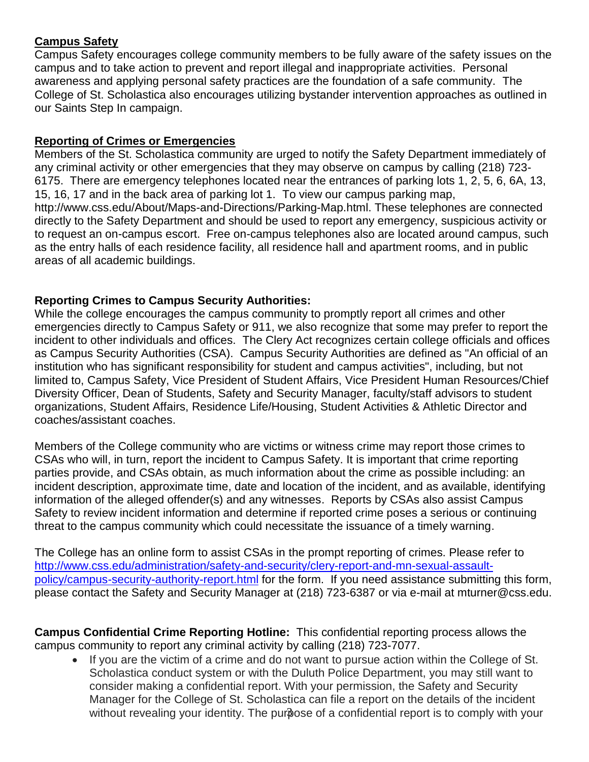# **Campus Safety**

Campus Safety encourages college community members to be fully aware of the safety issues on the campus and to take action to prevent and report illegal and inappropriate activities. Personal awareness and applying personal safety practices are the foundation of a safe community. The College of St. Scholastica also encourages utilizing bystander intervention approaches as outlined in our Saints Step In campaign.

#### **Reporting of Crimes or Emergencies**

Members of the St. Scholastica community are urged to notify the Safety Department immediately of any criminal activity or other emergencies that they may observe on campus by calling (218) 723- 6175. There are emergency telephones located near the entrances of parking lots 1, 2, 5, 6, 6A, 13, 15, 16, 17 and in the back area of parking lot 1. To view our campus parking map, http://www.css.edu/About/Maps-and-Directions/Parking-Map.html. These telephones are connected directly to the Safety Department and should be used to report any emergency, suspicious activity or to request an on-campus escort. Free on-campus telephones also are located around campus, such as the entry halls of each residence facility, all residence hall and apartment rooms, and in public areas of all academic buildings.

# **Reporting Crimes to Campus Security Authorities:**

While the college encourages the campus community to promptly report all crimes and other emergencies directly to Campus Safety or 911, we also recognize that some may prefer to report the incident to other individuals and offices. The Clery Act recognizes certain college officials and offices as Campus Security Authorities (CSA). Campus Security Authorities are defined as "An official of an institution who has significant responsibility for student and campus activities", including, but not limited to, Campus Safety, Vice President of Student Affairs, Vice President Human Resources/Chief Diversity Officer, Dean of Students, Safety and Security Manager, faculty/staff advisors to student organizations, Student Affairs, Residence Life/Housing, Student Activities & Athletic Director and coaches/assistant coaches.

Members of the College community who are victims or witness crime may report those crimes to CSAs who will, in turn, report the incident to Campus Safety. It is important that crime reporting parties provide, and CSAs obtain, as much information about the crime as possible including: an incident description, approximate time, date and location of the incident, and as available, identifying information of the alleged offender(s) and any witnesses. Reports by CSAs also assist Campus Safety to review incident information and determine if reported crime poses a serious or continuing threat to the campus community which could necessitate the issuance of a timely warning.

The College has an online form to assist CSAs in the prompt reporting of crimes. Please refer to [http://www.css.edu/administration/safety-and-security/clery-report-and-mn-sexual-assault](http://www.css.edu/administration/safety-and-security/clery-report-and-mn-sexual-assault-policy/campus-security-authority-report.html)[policy/campus-security-authority-report.html](http://www.css.edu/administration/safety-and-security/clery-report-and-mn-sexual-assault-policy/campus-security-authority-report.html) for the form. If you need assistance submitting this form, please contact the Safety and Security Manager at (218) 723-6387 or via e-mail at mturner@css.edu.

**Campus Confidential Crime Reporting Hotline:** This confidential reporting process allows the campus community to report any criminal activity by calling (218) 723-7077.

without revealing your identity. The purpose of a confidential report is to comply with your • If you are the victim of a crime and do not want to pursue action within the College of St. Scholastica conduct system or with the Duluth Police Department, you may still want to consider making a confidential report. With your permission, the Safety and Security Manager for the College of St. Scholastica can file a report on the details of the incident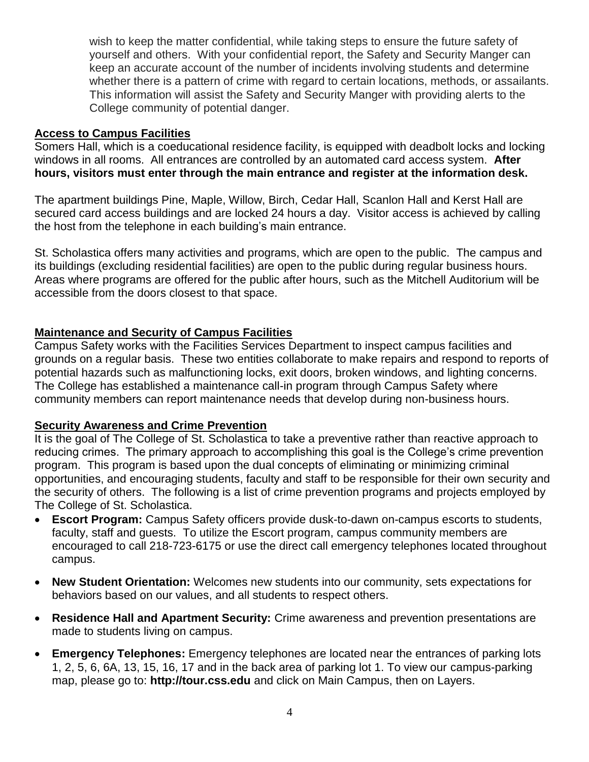wish to keep the matter confidential, while taking steps to ensure the future safety of yourself and others. With your confidential report, the Safety and Security Manger can keep an accurate account of the number of incidents involving students and determine whether there is a pattern of crime with regard to certain locations, methods, or assailants. This information will assist the Safety and Security Manger with providing alerts to the College community of potential danger.

#### **Access to Campus Facilities**

Somers Hall, which is a coeducational residence facility, is equipped with deadbolt locks and locking windows in all rooms. All entrances are controlled by an automated card access system. **After hours, visitors must enter through the main entrance and register at the information desk.**

The apartment buildings Pine, Maple, Willow, Birch, Cedar Hall, Scanlon Hall and Kerst Hall are secured card access buildings and are locked 24 hours a day. Visitor access is achieved by calling the host from the telephone in each building's main entrance.

St. Scholastica offers many activities and programs, which are open to the public. The campus and its buildings (excluding residential facilities) are open to the public during regular business hours. Areas where programs are offered for the public after hours, such as the Mitchell Auditorium will be accessible from the doors closest to that space.

#### **Maintenance and Security of Campus Facilities**

Campus Safety works with the Facilities Services Department to inspect campus facilities and grounds on a regular basis. These two entities collaborate to make repairs and respond to reports of potential hazards such as malfunctioning locks, exit doors, broken windows, and lighting concerns. The College has established a maintenance call-in program through Campus Safety where community members can report maintenance needs that develop during non-business hours.

#### **Security Awareness and Crime Prevention**

It is the goal of The College of St. Scholastica to take a preventive rather than reactive approach to reducing crimes. The primary approach to accomplishing this goal is the College's crime prevention program. This program is based upon the dual concepts of eliminating or minimizing criminal opportunities, and encouraging students, faculty and staff to be responsible for their own security and the security of others. The following is a list of crime prevention programs and projects employed by The College of St. Scholastica.

- **Escort Program:** Campus Safety officers provide dusk-to-dawn on-campus escorts to students, faculty, staff and guests. To utilize the Escort program, campus community members are encouraged to call 218-723-6175 or use the direct call emergency telephones located throughout campus.
- **New Student Orientation:** Welcomes new students into our community, sets expectations for behaviors based on our values, and all students to respect others.
- **Residence Hall and Apartment Security:** Crime awareness and prevention presentations are made to students living on campus.
- **Emergency Telephones:** Emergency telephones are located near the entrances of parking lots 1, 2, 5, 6, 6A, 13, 15, 16, 17 and in the back area of parking lot 1. To view our campus-parking map, please go to: **http://tour.css.edu** and click on Main Campus, then on Layers.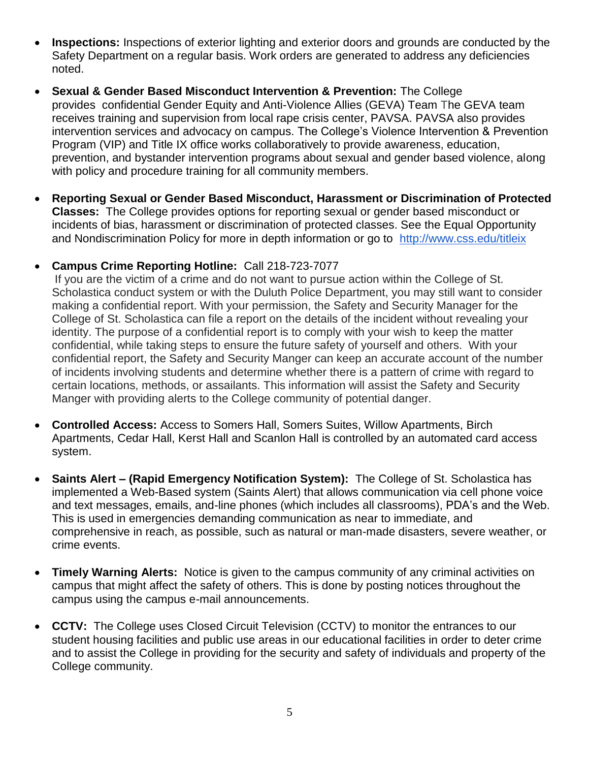- **Inspections:** Inspections of exterior lighting and exterior doors and grounds are conducted by the Safety Department on a regular basis. Work orders are generated to address any deficiencies noted.
- **Sexual & Gender Based Misconduct Intervention & Prevention:** The College provides confidential Gender Equity and Anti-Violence Allies (GEVA) Team The GEVA team receives training and supervision from local rape crisis center, PAVSA. PAVSA also provides intervention services and advocacy on campus. The College's Violence Intervention & Prevention Program (VIP) and Title IX office works collaboratively to provide awareness, education, prevention, and bystander intervention programs about sexual and gender based violence, along with policy and procedure training for all community members.
- **Reporting Sexual or Gender Based Misconduct, Harassment or Discrimination of Protected Classes:** The College provides options for reporting sexual or gender based misconduct or incidents of bias, harassment or discrimination of protected classes. See the Equal Opportunity and Nondiscrimination Policy for more in depth information or go to <http://www.css.edu/titleix>

#### • **Campus Crime Reporting Hotline:** Call 218-723-7077

If you are the victim of a crime and do not want to pursue action within the College of St. Scholastica conduct system or with the Duluth Police Department, you may still want to consider making a confidential report. With your permission, the Safety and Security Manager for the College of St. Scholastica can file a report on the details of the incident without revealing your identity. The purpose of a confidential report is to comply with your wish to keep the matter confidential, while taking steps to ensure the future safety of yourself and others. With your confidential report, the Safety and Security Manger can keep an accurate account of the number of incidents involving students and determine whether there is a pattern of crime with regard to certain locations, methods, or assailants. This information will assist the Safety and Security Manger with providing alerts to the College community of potential danger.

- **Controlled Access:** Access to Somers Hall, Somers Suites, Willow Apartments, Birch Apartments, Cedar Hall, Kerst Hall and Scanlon Hall is controlled by an automated card access system.
- **Saints Alert – (Rapid Emergency Notification System):** The College of St. Scholastica has implemented a Web-Based system (Saints Alert) that allows communication via cell phone voice and text messages, emails, and-line phones (which includes all classrooms), PDA's and the Web. This is used in emergencies demanding communication as near to immediate, and comprehensive in reach, as possible, such as natural or man-made disasters, severe weather, or crime events.
- **Timely Warning Alerts:** Notice is given to the campus community of any criminal activities on campus that might affect the safety of others. This is done by posting notices throughout the campus using the campus e-mail announcements.
- **CCTV:** The College uses Closed Circuit Television (CCTV) to monitor the entrances to our student housing facilities and public use areas in our educational facilities in order to deter crime and to assist the College in providing for the security and safety of individuals and property of the College community.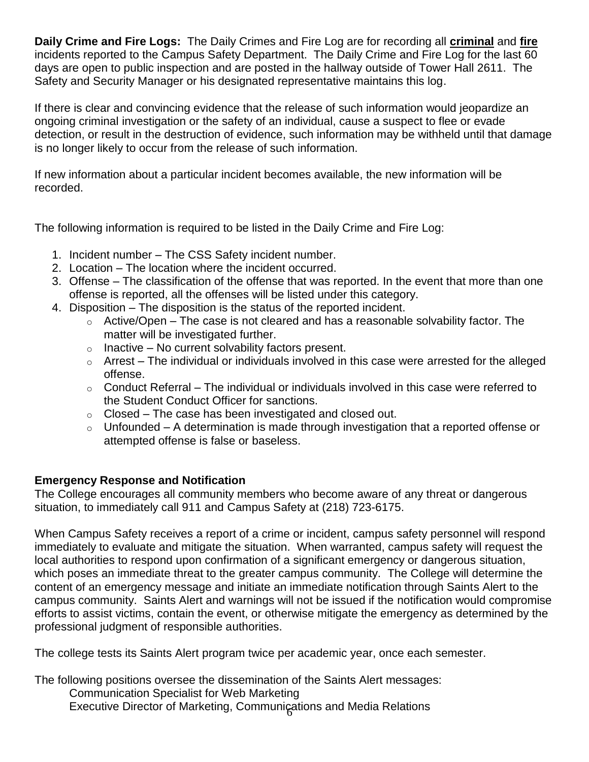**Daily Crime and Fire Logs:** The Daily Crimes and Fire Log are for recording all **criminal** and **fire** incidents reported to the Campus Safety Department. The Daily Crime and Fire Log for the last 60 days are open to public inspection and are posted in the hallway outside of Tower Hall 2611. The Safety and Security Manager or his designated representative maintains this log.

If there is clear and convincing evidence that the release of such information would jeopardize an ongoing criminal investigation or the safety of an individual, cause a suspect to flee or evade detection, or result in the destruction of evidence, such information may be withheld until that damage is no longer likely to occur from the release of such information.

If new information about a particular incident becomes available, the new information will be recorded.

The following information is required to be listed in the Daily Crime and Fire Log:

- 1. Incident number The CSS Safety incident number.
- 2. Location The location where the incident occurred.
- 3. Offense The classification of the offense that was reported. In the event that more than one offense is reported, all the offenses will be listed under this category.
- 4. Disposition The disposition is the status of the reported incident.
	- $\circ$  Active/Open The case is not cleared and has a reasonable solvability factor. The matter will be investigated further.
	- $\circ$  Inactive No current solvability factors present.
	- $\circ$  Arrest The individual or individuals involved in this case were arrested for the alleged offense.
	- $\circ$  Conduct Referral The individual or individuals involved in this case were referred to the Student Conduct Officer for sanctions.
	- $\circ$  Closed The case has been investigated and closed out.
	- $\circ$  Unfounded A determination is made through investigation that a reported offense or attempted offense is false or baseless.

# **Emergency Response and Notification**

The College encourages all community members who become aware of any threat or dangerous situation, to immediately call 911 and Campus Safety at (218) 723-6175.

When Campus Safety receives a report of a crime or incident, campus safety personnel will respond immediately to evaluate and mitigate the situation. When warranted, campus safety will request the local authorities to respond upon confirmation of a significant emergency or dangerous situation, which poses an immediate threat to the greater campus community. The College will determine the content of an emergency message and initiate an immediate notification through Saints Alert to the campus community. Saints Alert and warnings will not be issued if the notification would compromise efforts to assist victims, contain the event, or otherwise mitigate the emergency as determined by the professional judgment of responsible authorities.

The college tests its Saints Alert program twice per academic year, once each semester.

The following positions oversee the dissemination of the Saints Alert messages:

Executive Director of Marketing, Communications and Media Relations Communication Specialist for Web Marketing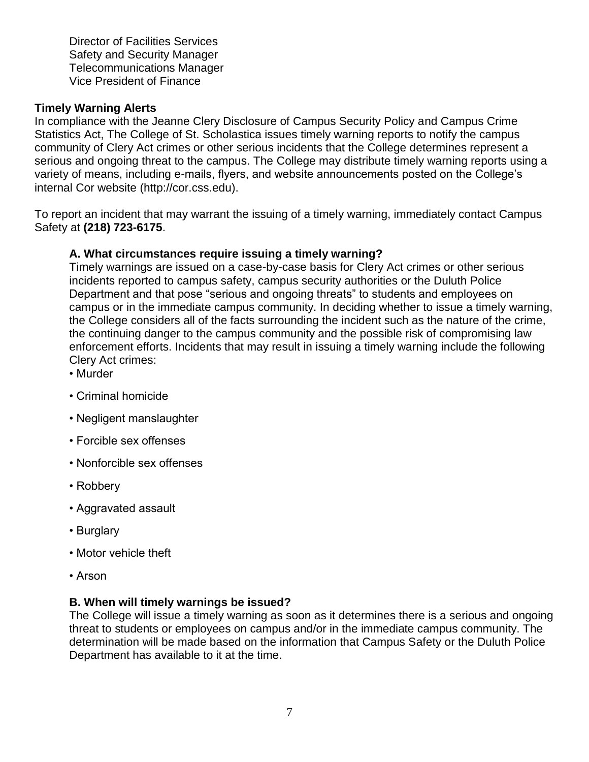Director of Facilities Services Safety and Security Manager Telecommunications Manager Vice President of Finance

#### **Timely Warning Alerts**

In compliance with the Jeanne Clery Disclosure of Campus Security Policy and Campus Crime Statistics Act, The College of St. Scholastica issues timely warning reports to notify the campus community of Clery Act crimes or other serious incidents that the College determines represent a serious and ongoing threat to the campus. The College may distribute timely warning reports using a variety of means, including e-mails, flyers, and website announcements posted on the College's internal Cor website (http://cor.css.edu).

To report an incident that may warrant the issuing of a timely warning, immediately contact Campus Safety at **(218) 723-6175**.

#### **A. What circumstances require issuing a timely warning?**

Timely warnings are issued on a case-by-case basis for Clery Act crimes or other serious incidents reported to campus safety, campus security authorities or the Duluth Police Department and that pose "serious and ongoing threats" to students and employees on campus or in the immediate campus community. In deciding whether to issue a timely warning, the College considers all of the facts surrounding the incident such as the nature of the crime, the continuing danger to the campus community and the possible risk of compromising law enforcement efforts. Incidents that may result in issuing a timely warning include the following Clery Act crimes:

- Murder
- Criminal homicide
- Negligent manslaughter
- Forcible sex offenses
- Nonforcible sex offenses
- Robbery
- Aggravated assault
- Burglary
- Motor vehicle theft
- Arson

#### **B. When will timely warnings be issued?**

The College will issue a timely warning as soon as it determines there is a serious and ongoing threat to students or employees on campus and/or in the immediate campus community. The determination will be made based on the information that Campus Safety or the Duluth Police Department has available to it at the time.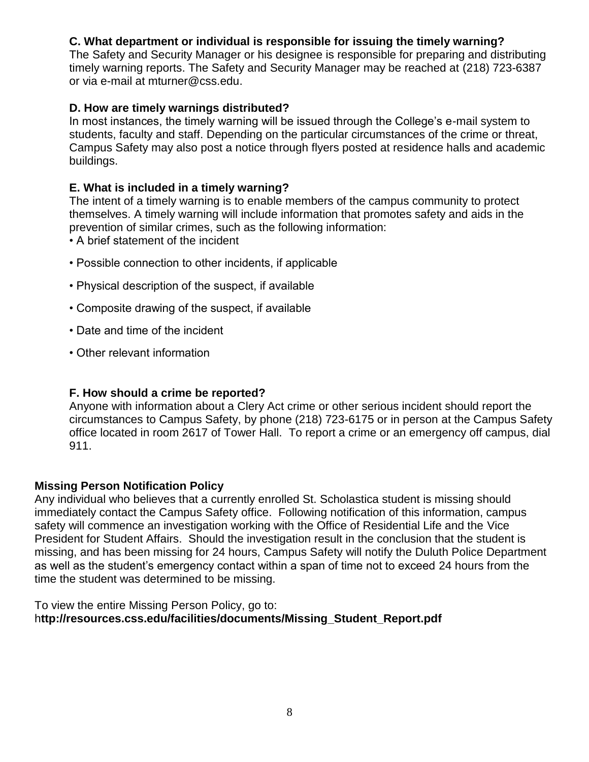# **C. What department or individual is responsible for issuing the timely warning?**

The Safety and Security Manager or his designee is responsible for preparing and distributing timely warning reports. The Safety and Security Manager may be reached at (218) 723-6387 or via e-mail at mturner@css.edu.

#### **D. How are timely warnings distributed?**

In most instances, the timely warning will be issued through the College's e-mail system to students, faculty and staff. Depending on the particular circumstances of the crime or threat, Campus Safety may also post a notice through flyers posted at residence halls and academic buildings.

#### **E. What is included in a timely warning?**

The intent of a timely warning is to enable members of the campus community to protect themselves. A timely warning will include information that promotes safety and aids in the prevention of similar crimes, such as the following information:

- A brief statement of the incident
- Possible connection to other incidents, if applicable
- Physical description of the suspect, if available
- Composite drawing of the suspect, if available
- Date and time of the incident
- Other relevant information

#### **F. How should a crime be reported?**

Anyone with information about a Clery Act crime or other serious incident should report the circumstances to Campus Safety, by phone (218) 723-6175 or in person at the Campus Safety office located in room 2617 of Tower Hall. To report a crime or an emergency off campus, dial 911.

#### **Missing Person Notification Policy**

Any individual who believes that a currently enrolled St. Scholastica student is missing should immediately contact the Campus Safety office. Following notification of this information, campus safety will commence an investigation working with the Office of Residential Life and the Vice President for Student Affairs. Should the investigation result in the conclusion that the student is missing, and has been missing for 24 hours, Campus Safety will notify the Duluth Police Department as well as the student's emergency contact within a span of time not to exceed 24 hours from the time the student was determined to be missing.

To view the entire Missing Person Policy, go to: h**ttp://resources.css.edu/facilities/documents/Missing\_Student\_Report.pdf**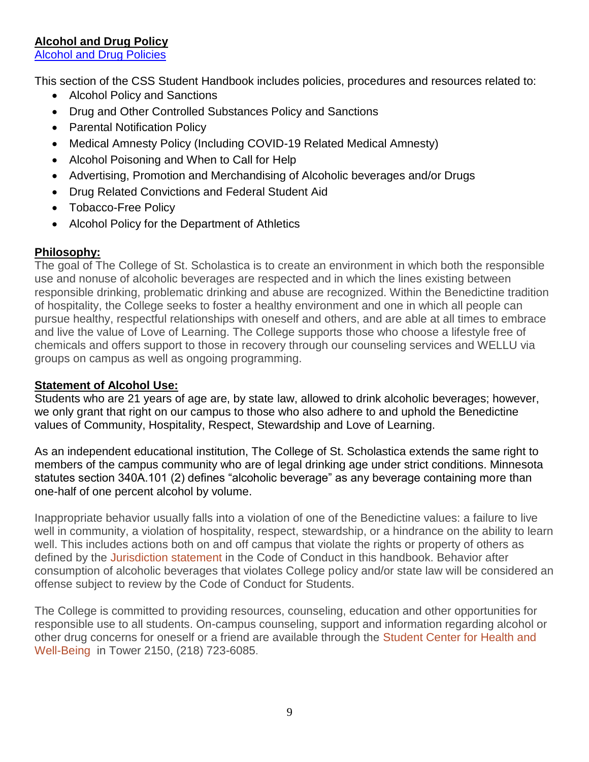# **Alcohol and Drug Policy**

[Alcohol and Drug Policies](http://www.css.edu/student-affairs/student-life/table-of-contents-for-student-code-of-conduct-and-policy-library/alcohol-and-drug-use-policies.html)

This section of the CSS Student Handbook includes policies, procedures and resources related to:

- Alcohol Policy and Sanctions
- Drug and Other Controlled Substances Policy and Sanctions
- Parental Notification Policy
- Medical Amnesty Policy (Including COVID-19 Related Medical Amnesty)
- Alcohol Poisoning and When to Call for Help
- Advertising, Promotion and Merchandising of Alcoholic beverages and/or Drugs
- Drug Related Convictions and Federal Student Aid
- Tobacco-Free Policy
- Alcohol Policy for the Department of Athletics

# **Philosophy:**

The goal of The College of St. Scholastica is to create an environment in which both the responsible use and nonuse of alcoholic beverages are respected and in which the lines existing between responsible drinking, problematic drinking and abuse are recognized. Within the Benedictine tradition of hospitality, the College seeks to foster a healthy environment and one in which all people can pursue healthy, respectful relationships with oneself and others, and are able at all times to embrace and live the value of Love of Learning. The College supports those who choose a lifestyle free of chemicals and offers support to those in recovery through our counseling services and WELLU via groups on campus as well as ongoing programming.

### **Statement of Alcohol Use:**

Students who are 21 years of age are, by state law, allowed to drink alcoholic beverages; however, we only grant that right on our campus to those who also adhere to and uphold the Benedictine values of Community, Hospitality, Respect, Stewardship and Love of Learning.

As an independent educational institution, The College of St. Scholastica extends the same right to members of the campus community who are of legal drinking age under strict conditions. Minnesota statutes section 340A.101 (2) defines "alcoholic beverage" as any beverage containing more than one-half of one percent alcohol by volume.

Inappropriate behavior usually falls into a violation of one of the Benedictine values: a failure to live well in community, a violation of hospitality, respect, stewardship, or a hindrance on the ability to learn well. This includes actions both on and off campus that violate the rights or property of others as defined by the [Jurisdiction statement i](http://www.css.edu/x19990.xml)n the Code of Conduct in this handbook. Behavior after consumption of alcoholic beverages that violates College policy and/or state law will be considered an offense subject to review by the Code of Conduct for Students.

The College is committed to providing resources, counseling, education and other opportunities for responsible use to all students. On-campus counseling, support and information regarding alcohol or other drug concerns for oneself or a friend are available through the [Student Center for Health and](http://www.css.edu/student-affairs/student-center-for-health-and-well-being.html)  [Well-Being i](http://www.css.edu/student-affairs/student-center-for-health-and-well-being.html)n Tower 2150, (218) 723-6085.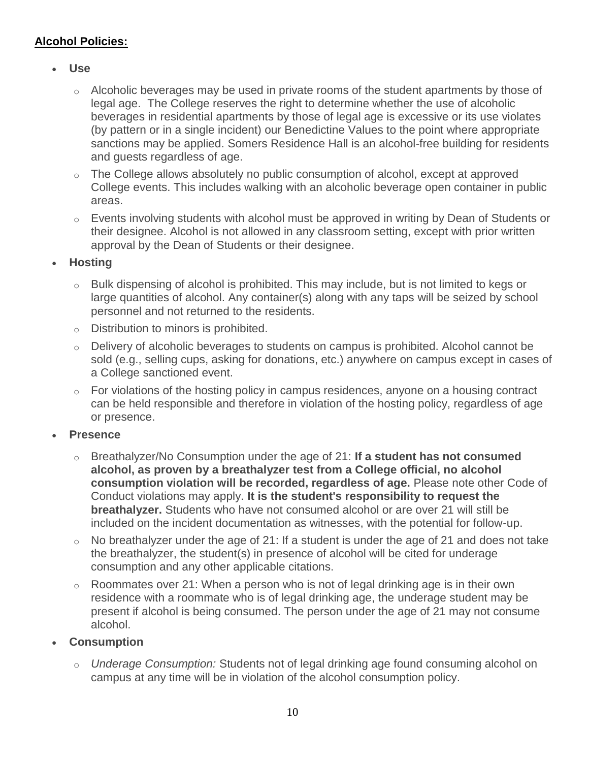# **Alcohol Policies:**

- **Use**
	- o Alcoholic beverages may be used in private rooms of the student apartments by those of legal age. The College reserves the right to determine whether the use of alcoholic beverages in residential apartments by those of legal age is excessive or its use violates (by pattern or in a single incident) our Benedictine Values to the point where appropriate sanctions may be applied. Somers Residence Hall is an alcohol-free building for residents and guests regardless of age.
	- o The College allows absolutely no public consumption of alcohol, except at approved College events. This includes walking with an alcoholic beverage open container in public areas.
	- $\circ$  Events involving students with alcohol must be approved in writing by Dean of Students or their designee. Alcohol is not allowed in any classroom setting, except with prior written approval by the Dean of Students or their designee.
- **Hosting**
	- o Bulk dispensing of alcohol is prohibited. This may include, but is not limited to kegs or large quantities of alcohol. Any container(s) along with any taps will be seized by school personnel and not returned to the residents.
	- o Distribution to minors is prohibited.
	- o Delivery of alcoholic beverages to students on campus is prohibited. Alcohol cannot be sold (e.g., selling cups, asking for donations, etc.) anywhere on campus except in cases of a College sanctioned event.
	- $\circ$  For violations of the hosting policy in campus residences, anyone on a housing contract can be held responsible and therefore in violation of the hosting policy, regardless of age or presence.
- **Presence**
	- o Breathalyzer/No Consumption under the age of 21: **If a student has not consumed alcohol, as proven by a breathalyzer test from a College official, no alcohol consumption violation will be recorded, regardless of age.** Please note other Code of Conduct violations may apply. **It is the student's responsibility to request the breathalyzer.** Students who have not consumed alcohol or are over 21 will still be included on the incident documentation as witnesses, with the potential for follow-up.
	- $\circ$  No breathalyzer under the age of 21: If a student is under the age of 21 and does not take the breathalyzer, the student(s) in presence of alcohol will be cited for underage consumption and any other applicable citations.
	- $\circ$  Roommates over 21: When a person who is not of legal drinking age is in their own residence with a roommate who is of legal drinking age, the underage student may be present if alcohol is being consumed. The person under the age of 21 may not consume alcohol.

# • **Consumption**

o *Underage Consumption:* Students not of legal drinking age found consuming alcohol on campus at any time will be in violation of the alcohol consumption policy.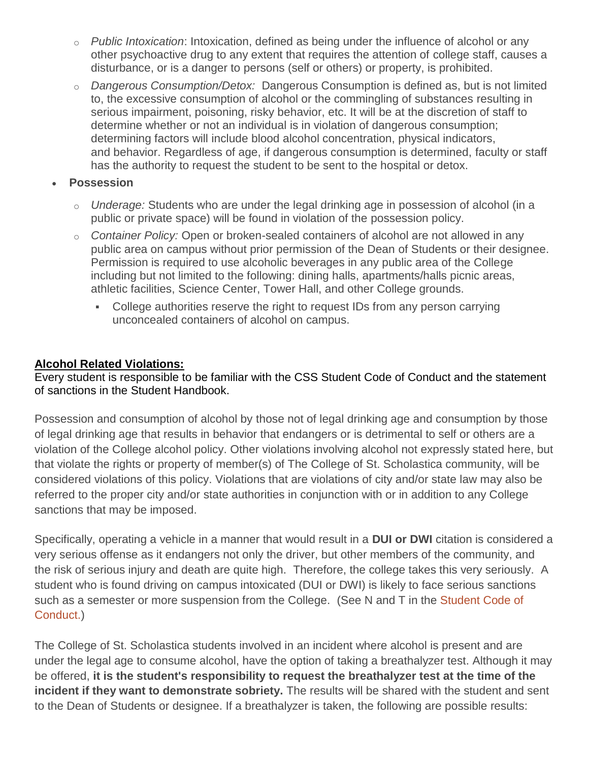- o *Public Intoxication*: Intoxication, defined as being under the influence of alcohol or any other psychoactive drug to any extent that requires the attention of college staff, causes a disturbance, or is a danger to persons (self or others) or property, is prohibited.
- o *Dangerous Consumption/Detox:* Dangerous Consumption is defined as, but is not limited to, the excessive consumption of alcohol or the commingling of substances resulting in serious impairment, poisoning, risky behavior, etc. It will be at the discretion of staff to determine whether or not an individual is in violation of dangerous consumption; determining factors will include blood alcohol concentration, physical indicators, and behavior. Regardless of age, if dangerous consumption is determined, faculty or staff has the authority to request the student to be sent to the hospital or detox.
- **Possession**
	- o *Underage:* Students who are under the legal drinking age in possession of alcohol (in a public or private space) will be found in violation of the possession policy.
	- o *Container Policy:* Open or broken-sealed containers of alcohol are not allowed in any public area on campus without prior permission of the Dean of Students or their designee. Permission is required to use alcoholic beverages in any public area of the College including but not limited to the following: dining halls, apartments/halls picnic areas, athletic facilities, Science Center, Tower Hall, and other College grounds.
		- College authorities reserve the right to request IDs from any person carrying unconcealed containers of alcohol on campus.

#### **Alcohol Related Violations:**

Every student is responsible to be familiar with the CSS Student Code of Conduct and the statement of sanctions in the Student Handbook.

Possession and consumption of alcohol by those not of legal drinking age and consumption by those of legal drinking age that results in behavior that endangers or is detrimental to self or others are a violation of the College alcohol policy. Other violations involving alcohol not expressly stated here, but that violate the rights or property of member(s) of The College of St. Scholastica community, will be considered violations of this policy. Violations that are violations of city and/or state law may also be referred to the proper city and/or state authorities in conjunction with or in addition to any College sanctions that may be imposed.

Specifically, operating a vehicle in a manner that would result in a **DUI or DWI** citation is considered a very serious offense as it endangers not only the driver, but other members of the community, and the risk of serious injury and death are quite high. Therefore, the college takes this very seriously. A student who is found driving on campus intoxicated (DUI or DWI) is likely to face serious sanctions such as a semester or more suspension from the College. (See N and T in the [Student Code of](http://www.css.edu/x19992.xml)  [Conduct.\)](http://www.css.edu/x19992.xml)

to the Dean of Students or designee. If a breathalyzer is taken, the following are possible results:<br> The College of St. Scholastica students involved in an incident where alcohol is present and are under the legal age to consume alcohol, have the option of taking a breathalyzer test. Although it may be offered, **it is the student's responsibility to request the breathalyzer test at the time of the incident if they want to demonstrate sobriety.** The results will be shared with the student and sent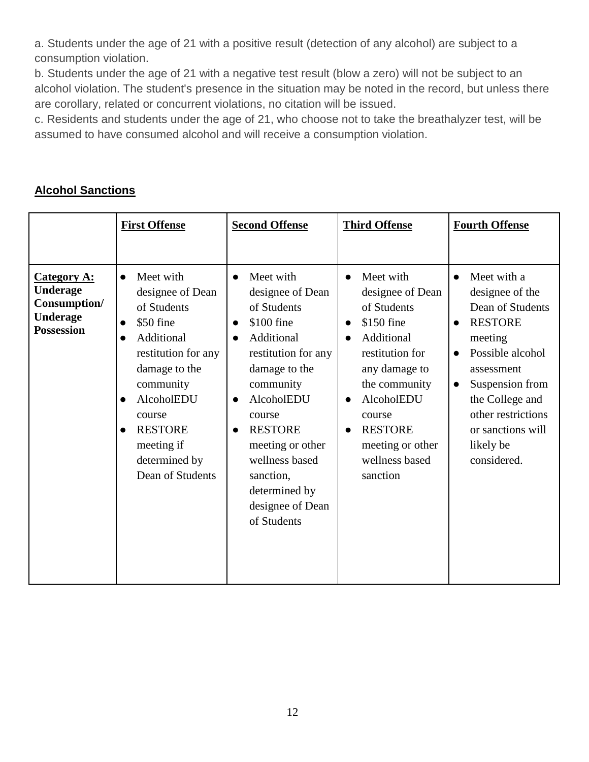a. Students under the age of 21 with a positive result (detection of any alcohol) are subject to a consumption violation.

b. Students under the age of 21 with a negative test result (blow a zero) will not be subject to an alcohol violation. The student's presence in the situation may be noted in the record, but unless there are corollary, related or concurrent violations, no citation will be issued.

c. Residents and students under the age of 21, who choose not to take the breathalyzer test, will be assumed to have consumed alcohol and will receive a consumption violation.

|                                                                                               | <b>First Offense</b>                                                                                                                                                                                                                                | <b>Second Offense</b>                                                                                                                                                                                                                                                                                    | <b>Third Offense</b>                                                                                                                                                                                                                   | <b>Fourth Offense</b>                                                                                                                                                                                                                                                 |
|-----------------------------------------------------------------------------------------------|-----------------------------------------------------------------------------------------------------------------------------------------------------------------------------------------------------------------------------------------------------|----------------------------------------------------------------------------------------------------------------------------------------------------------------------------------------------------------------------------------------------------------------------------------------------------------|----------------------------------------------------------------------------------------------------------------------------------------------------------------------------------------------------------------------------------------|-----------------------------------------------------------------------------------------------------------------------------------------------------------------------------------------------------------------------------------------------------------------------|
| <b>Category A:</b><br><b>Underage</b><br>Consumption/<br><b>Underage</b><br><b>Possession</b> | Meet with<br>$\bullet$<br>designee of Dean<br>of Students<br>\$50 fine<br>$\bullet$<br>Additional<br>restitution for any<br>damage to the<br>community<br>AlcoholEDU<br>course<br><b>RESTORE</b><br>meeting if<br>determined by<br>Dean of Students | Meet with<br>designee of Dean<br>of Students<br>\$100 fine<br>$\bullet$<br>Additional<br>restitution for any<br>damage to the<br>community<br>AlcoholEDU<br>$\bullet$<br>course<br><b>RESTORE</b><br>meeting or other<br>wellness based<br>sanction,<br>determined by<br>designee of Dean<br>of Students | Meet with<br>designee of Dean<br>of Students<br>\$150 fine<br>$\bullet$<br>Additional<br>restitution for<br>any damage to<br>the community<br>AlcoholEDU<br>course<br><b>RESTORE</b><br>meeting or other<br>wellness based<br>sanction | Meet with a<br>designee of the<br>Dean of Students<br><b>RESTORE</b><br>$\bullet$<br>meeting<br>Possible alcohol<br>$\bullet$<br>assessment<br>Suspension from<br>$\bullet$<br>the College and<br>other restrictions<br>or sanctions will<br>likely be<br>considered. |

# **Alcohol Sanctions**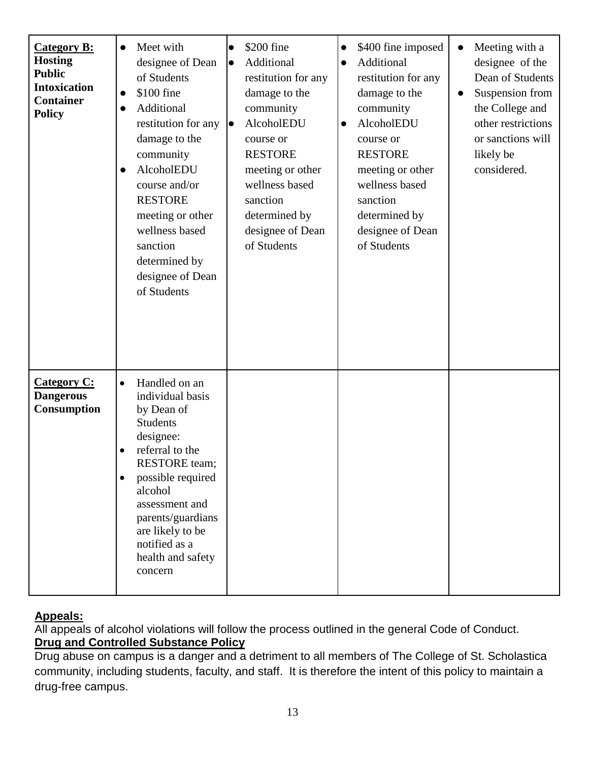| <b>Category B:</b><br><b>Hosting</b><br><b>Public</b><br><b>Intoxication</b><br><b>Container</b><br><b>Policy</b> | Meet with<br>$\bullet$<br>designee of Dean<br>of Students<br>\$100 fine<br>$\bullet$<br>Additional<br>$\bullet$<br>restitution for any<br>damage to the<br>community<br>AlcoholEDU<br>$\bullet$<br>course and/or<br><b>RESTORE</b><br>meeting or other<br>wellness based<br>sanction<br>determined by<br>designee of Dean<br>of Students | \$200 fine<br>$\bullet$<br>Additional<br>lo<br>restitution for any<br>damage to the<br>community<br>AlcoholEDU<br>lo<br>course or<br><b>RESTORE</b><br>meeting or other<br>wellness based<br>sanction<br>determined by<br>designee of Dean<br>of Students | \$400 fine imposed<br>$\bullet$<br>Additional<br>$\bullet$<br>restitution for any<br>damage to the<br>community<br>AlcoholEDU<br>$\bullet$<br>course or<br><b>RESTORE</b><br>meeting or other<br>wellness based<br>sanction<br>determined by<br>designee of Dean<br>of Students | Meeting with a<br>$\bullet$<br>designee of the<br>Dean of Students<br>Suspension from<br>$\bullet$<br>the College and<br>other restrictions<br>or sanctions will<br>likely be<br>considered. |
|-------------------------------------------------------------------------------------------------------------------|------------------------------------------------------------------------------------------------------------------------------------------------------------------------------------------------------------------------------------------------------------------------------------------------------------------------------------------|-----------------------------------------------------------------------------------------------------------------------------------------------------------------------------------------------------------------------------------------------------------|---------------------------------------------------------------------------------------------------------------------------------------------------------------------------------------------------------------------------------------------------------------------------------|----------------------------------------------------------------------------------------------------------------------------------------------------------------------------------------------|
| <b>Category C:</b><br><b>Dangerous</b><br>Consumption                                                             | Handled on an<br>$\bullet$<br>individual basis<br>by Dean of<br><b>Students</b><br>designee:<br>referral to the<br><b>RESTORE</b> team;<br>possible required<br>alcohol<br>assessment and<br>parents/guardians<br>are likely to be<br>notified as a<br>health and safety<br>concern                                                      |                                                                                                                                                                                                                                                           |                                                                                                                                                                                                                                                                                 |                                                                                                                                                                                              |

# **Appeals:**

All appeals of alcohol violations will follow the process outlined in the general Code of Conduct. **Drug and Controlled Substance Policy**

Drug abuse on campus is a danger and a detriment to all members of The College of St. Scholastica community, including students, faculty, and staff. It is therefore the intent of this policy to maintain a drug-free campus.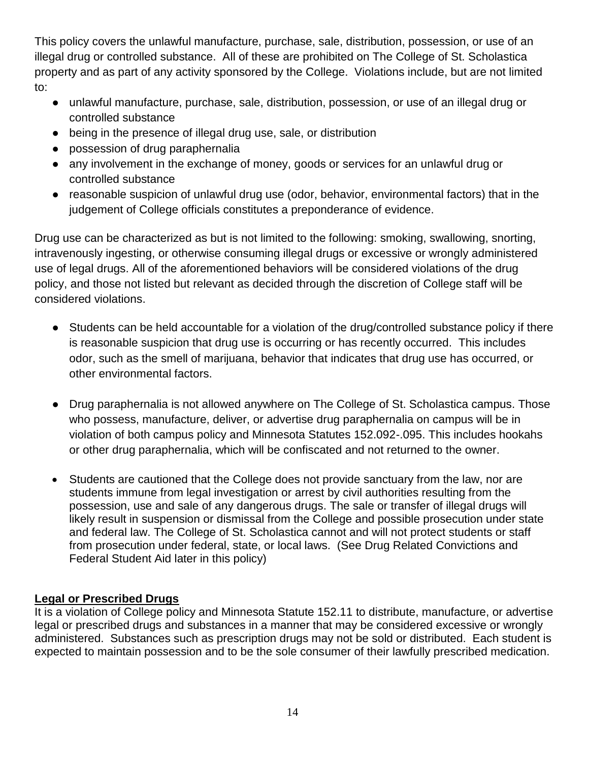This policy covers the unlawful manufacture, purchase, sale, distribution, possession, or use of an illegal drug or controlled substance. All of these are prohibited on The College of St. Scholastica property and as part of any activity sponsored by the College. Violations include, but are not limited to:

- unlawful manufacture, purchase, sale, distribution, possession, or use of an illegal drug or controlled substance
- being in the presence of illegal drug use, sale, or distribution
- possession of drug paraphernalia
- any involvement in the exchange of money, goods or services for an unlawful drug or controlled substance
- reasonable suspicion of unlawful drug use (odor, behavior, environmental factors) that in the judgement of College officials constitutes a preponderance of evidence.

Drug use can be characterized as but is not limited to the following: smoking, swallowing, snorting, intravenously ingesting, or otherwise consuming illegal drugs or excessive or wrongly administered use of legal drugs. All of the aforementioned behaviors will be considered violations of the drug policy, and those not listed but relevant as decided through the discretion of College staff will be considered violations.

- Students can be held accountable for a violation of the drug/controlled substance policy if there is reasonable suspicion that drug use is occurring or has recently occurred. This includes odor, such as the smell of marijuana, behavior that indicates that drug use has occurred, or other environmental factors.
- Drug paraphernalia is not allowed anywhere on The College of St. Scholastica campus. Those who possess, manufacture, deliver, or advertise drug paraphernalia on campus will be in violation of both campus policy and Minnesota Statutes 152.092-.095. This includes hookahs or other drug paraphernalia, which will be confiscated and not returned to the owner.
- Students are cautioned that the College does not provide sanctuary from the law, nor are students immune from legal investigation or arrest by civil authorities resulting from the possession, use and sale of any dangerous drugs. The sale or transfer of illegal drugs will likely result in suspension or dismissal from the College and possible prosecution under state and federal law. The College of St. Scholastica cannot and will not protect students or staff from prosecution under federal, state, or local laws. (See Drug Related Convictions and Federal Student Aid later in this policy)

#### **Legal or Prescribed Drugs**

It is a violation of College policy and Minnesota Statute 152.11 to distribute, manufacture, or advertise legal or prescribed drugs and substances in a manner that may be considered excessive or wrongly administered. Substances such as prescription drugs may not be sold or distributed. Each student is expected to maintain possession and to be the sole consumer of their lawfully prescribed medication.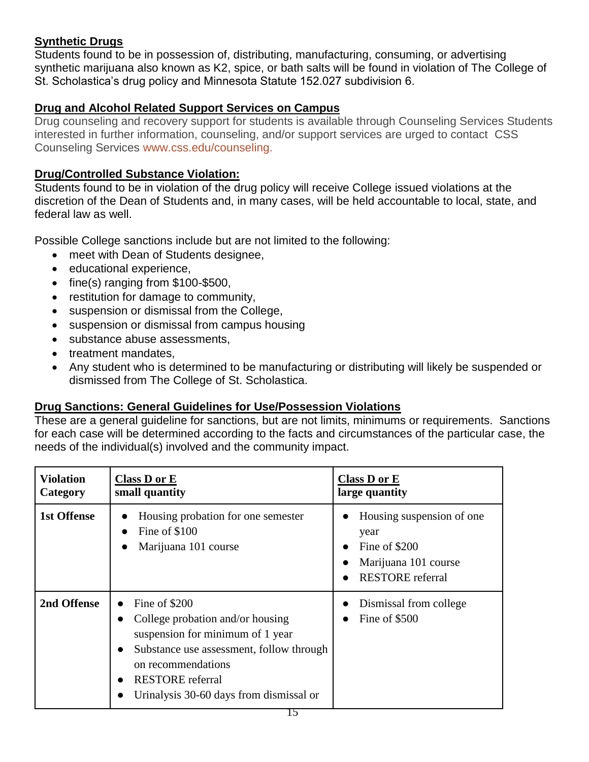# **Synthetic Drugs**

Students found to be in possession of, distributing, manufacturing, consuming, or advertising synthetic marijuana also known as K2, spice, or bath salts will be found in violation of The College of St. Scholastica's drug policy and Minnesota Statute 152.027 subdivision 6.

# **Drug and Alcohol Related Support Services on Campus**

Drug counseling and recovery support for students is available through Counseling Services Students interested in further information, counseling, and/or support services are urged to contact CSS Counseling Services [www.css.edu/counseling.](http://www.css.edu/student-affairs/student-center-for-health-and-well-being/counseling.html)

#### **Drug/Controlled Substance Violation:**

Students found to be in violation of the drug policy will receive College issued violations at the discretion of the Dean of Students and, in many cases, will be held accountable to local, state, and federal law as well.

Possible College sanctions include but are not limited to the following:

- meet with Dean of Students designee,
- educational experience,
- fine(s) ranging from \$100-\$500,
- restitution for damage to community,
- suspension or dismissal from the College,
- suspension or dismissal from campus housing
- substance abuse assessments,
- treatment mandates.
- Any student who is determined to be manufacturing or distributing will likely be suspended or dismissed from The College of St. Scholastica.

#### **Drug Sanctions: General Guidelines for Use/Possession Violations**

These are a general guideline for sanctions, but are not limits, minimums or requirements. Sanctions for each case will be determined according to the facts and circumstances of the particular case, the needs of the individual(s) involved and the community impact.

| <b>Violation</b><br>Category | <b>Class D or E</b><br>small quantity                                                                                                                                                                                         | Class D or E<br>large quantity                                                                        |
|------------------------------|-------------------------------------------------------------------------------------------------------------------------------------------------------------------------------------------------------------------------------|-------------------------------------------------------------------------------------------------------|
| <b>1st Offense</b>           | Housing probation for one semester<br>Fine of \$100<br>$\bullet$<br>Marijuana 101 course                                                                                                                                      | Housing suspension of one<br>year<br>Fine of \$200<br>Marijuana 101 course<br><b>RESTORE</b> referral |
| 2nd Offense                  | Fine of \$200<br>College probation and/or housing<br>suspension for minimum of 1 year<br>Substance use assessment, follow through<br>on recommendations<br><b>RESTORE</b> referral<br>Urinalysis 30-60 days from dismissal or | Dismissal from college<br>Fine of \$500                                                               |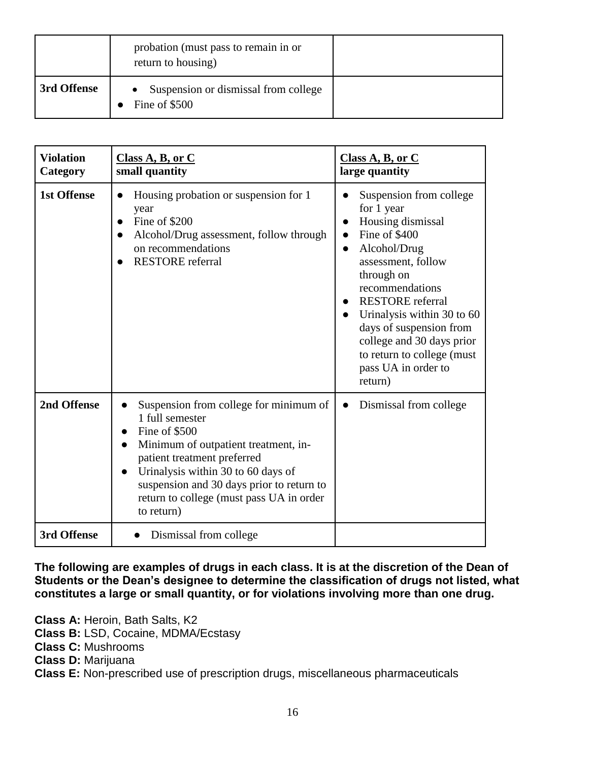|             | probation (must pass to remain in or<br>return to housing) |  |
|-------------|------------------------------------------------------------|--|
| 3rd Offense | Suspension or dismissal from college<br>Fine of \$500      |  |

| <b>Violation</b><br>Category | Class A, B, or C<br>small quantity                                                                                                                                                                                                                                                                                                         | Class A, B, or C<br>large quantity                                                                                                                                                                                                                                                                                                                            |
|------------------------------|--------------------------------------------------------------------------------------------------------------------------------------------------------------------------------------------------------------------------------------------------------------------------------------------------------------------------------------------|---------------------------------------------------------------------------------------------------------------------------------------------------------------------------------------------------------------------------------------------------------------------------------------------------------------------------------------------------------------|
| <b>1st Offense</b>           | Housing probation or suspension for 1<br>$\bullet$<br>year<br>Fine of \$200<br>$\bullet$<br>Alcohol/Drug assessment, follow through<br>$\bullet$<br>on recommendations<br><b>RESTORE</b> referral                                                                                                                                          | Suspension from college<br>for 1 year<br>Housing dismissal<br>Fine of \$400<br>$\bullet$<br>Alcohol/Drug<br>$\bullet$<br>assessment, follow<br>through on<br>recommendations<br><b>RESTORE</b> referral<br>Urinalysis within 30 to 60<br>days of suspension from<br>college and 30 days prior<br>to return to college (must<br>pass UA in order to<br>return) |
| 2nd Offense                  | Suspension from college for minimum of<br>$\bullet$<br>1 full semester<br>Fine of \$500<br>$\bullet$<br>Minimum of outpatient treatment, in-<br>●<br>patient treatment preferred<br>Urinalysis within 30 to 60 days of<br>$\bullet$<br>suspension and 30 days prior to return to<br>return to college (must pass UA in order<br>to return) | Dismissal from college                                                                                                                                                                                                                                                                                                                                        |
| 3rd Offense                  | Dismissal from college                                                                                                                                                                                                                                                                                                                     |                                                                                                                                                                                                                                                                                                                                                               |

**The following are examples of drugs in each class. It is at the discretion of the Dean of Students or the Dean's designee to determine the classification of drugs not listed, what constitutes a large or small quantity, or for violations involving more than one drug.**

**Class A:** Heroin, Bath Salts, K2 **Class B:** LSD, Cocaine, MDMA/Ecstasy **Class C:** Mushrooms **Class D:** Marijuana

**Class E:** Non-prescribed use of prescription drugs, miscellaneous pharmaceuticals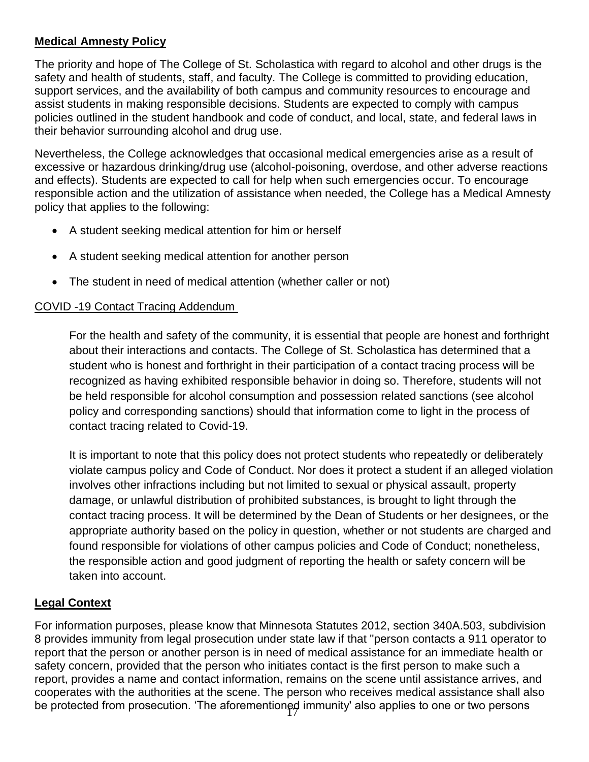# **Medical Amnesty Policy**

The priority and hope of The College of St. Scholastica with regard to alcohol and other drugs is the safety and health of students, staff, and faculty. The College is committed to providing education, support services, and the availability of both campus and community resources to encourage and assist students in making responsible decisions. Students are expected to comply with campus policies outlined in the student handbook and code of conduct, and local, state, and federal laws in their behavior surrounding alcohol and drug use.

Nevertheless, the College acknowledges that occasional medical emergencies arise as a result of excessive or hazardous drinking/drug use (alcohol-poisoning, overdose, and other adverse reactions and effects). Students are expected to call for help when such emergencies occur. To encourage responsible action and the utilization of assistance when needed, the College has a Medical Amnesty policy that applies to the following:

- A student seeking medical attention for him or herself
- A student seeking medical attention for another person
- The student in need of medical attention (whether caller or not)

#### COVID -19 Contact Tracing Addendum

For the health and safety of the community, it is essential that people are honest and forthright about their interactions and contacts. The College of St. Scholastica has determined that a student who is honest and forthright in their participation of a contact tracing process will be recognized as having exhibited responsible behavior in doing so. Therefore, students will not be held responsible for alcohol consumption and possession related sanctions (see alcohol policy and corresponding sanctions) should that information come to light in the process of contact tracing related to Covid-19.

It is important to note that this policy does not protect students who repeatedly or deliberately violate campus policy and Code of Conduct. Nor does it protect a student if an alleged violation involves other infractions including but not limited to sexual or physical assault, property damage, or unlawful distribution of prohibited substances, is brought to light through the contact tracing process. It will be determined by the Dean of Students or her designees, or the appropriate authority based on the policy in question, whether or not students are charged and found responsible for violations of other campus policies and Code of Conduct; nonetheless, the responsible action and good judgment of reporting the health or safety concern will be taken into account.

#### **Legal Context**

be protected from prosecution. 'The aforementioned immunity' also applies to one or two persons  $\,$ For information purposes, please know that Minnesota Statutes 2012, section 340A.503, subdivision 8 provides immunity from legal prosecution under state law if that "person contacts a 911 operator to report that the person or another person is in need of medical assistance for an immediate health or safety concern, provided that the person who initiates contact is the first person to make such a report, provides a name and contact information, remains on the scene until assistance arrives, and cooperates with the authorities at the scene. The person who receives medical assistance shall also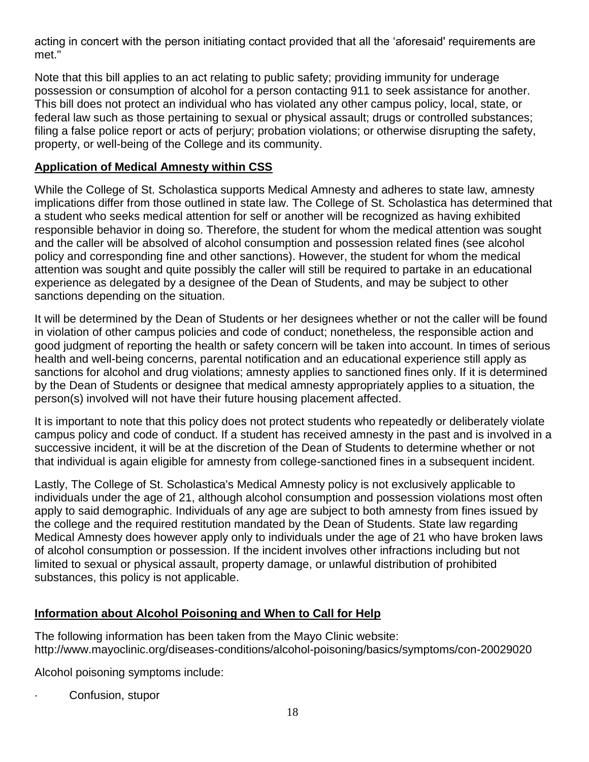acting in concert with the person initiating contact provided that all the 'aforesaid' requirements are met."

Note that this bill applies to an act relating to public safety; providing immunity for underage possession or consumption of alcohol for a person contacting 911 to seek assistance for another. This bill does not protect an individual who has violated any other campus policy, local, state, or federal law such as those pertaining to sexual or physical assault; drugs or controlled substances; filing a false police report or acts of perjury; probation violations; or otherwise disrupting the safety, property, or well-being of the College and its community.

# **Application of Medical Amnesty within CSS**

While the College of St. Scholastica supports Medical Amnesty and adheres to state law, amnesty implications differ from those outlined in state law. The College of St. Scholastica has determined that a student who seeks medical attention for self or another will be recognized as having exhibited responsible behavior in doing so. Therefore, the student for whom the medical attention was sought and the caller will be absolved of alcohol consumption and possession related fines (see alcohol policy and corresponding fine and other sanctions). However, the student for whom the medical attention was sought and quite possibly the caller will still be required to partake in an educational experience as delegated by a designee of the Dean of Students, and may be subject to other sanctions depending on the situation.

It will be determined by the Dean of Students or her designees whether or not the caller will be found in violation of other campus policies and code of conduct; nonetheless, the responsible action and good judgment of reporting the health or safety concern will be taken into account. In times of serious health and well-being concerns, parental notification and an educational experience still apply as sanctions for alcohol and drug violations; amnesty applies to sanctioned fines only. If it is determined by the Dean of Students or designee that medical amnesty appropriately applies to a situation, the person(s) involved will not have their future housing placement affected.

It is important to note that this policy does not protect students who repeatedly or deliberately violate campus policy and code of conduct. If a student has received amnesty in the past and is involved in a successive incident, it will be at the discretion of the Dean of Students to determine whether or not that individual is again eligible for amnesty from college-sanctioned fines in a subsequent incident.

Lastly, The College of St. Scholastica's Medical Amnesty policy is not exclusively applicable to individuals under the age of 21, although alcohol consumption and possession violations most often apply to said demographic. Individuals of any age are subject to both amnesty from fines issued by the college and the required restitution mandated by the Dean of Students. State law regarding Medical Amnesty does however apply only to individuals under the age of 21 who have broken laws of alcohol consumption or possession. If the incident involves other infractions including but not limited to sexual or physical assault, property damage, or unlawful distribution of prohibited substances, this policy is not applicable.

# **Information about Alcohol Poisoning and When to Call for Help**

The following information has been taken from the Mayo Clinic website: http://www.mayoclinic.org/diseases-conditions/alcohol-poisoning/basics/symptoms/con-20029020

Alcohol poisoning symptoms include:

Confusion, stupor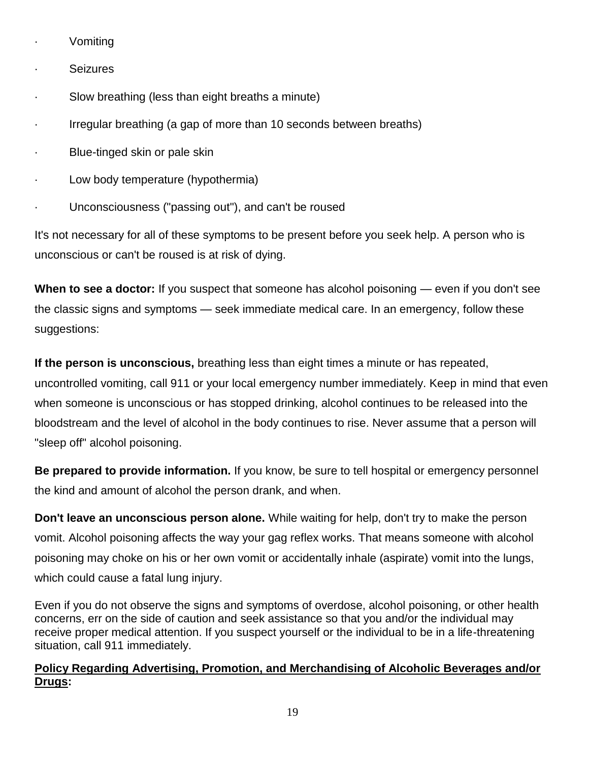- · Vomiting
- · Seizures
- · Slow breathing (less than eight breaths a minute)
- · Irregular breathing (a gap of more than 10 seconds between breaths)
- Blue-tinged skin or pale skin
- · Low body temperature (hypothermia)
- Unconsciousness ("passing out"), and can't be roused

It's not necessary for all of these symptoms to be present before you seek help. A person who is unconscious or can't be roused is at risk of dying.

**When to see a doctor:** If you suspect that someone has alcohol poisoning — even if you don't see the classic signs and symptoms — seek immediate medical care. In an emergency, follow these suggestions:

**If the person is unconscious,** breathing less than eight times a minute or has repeated, uncontrolled vomiting, call 911 or your local emergency number immediately. Keep in mind that even when someone is unconscious or has stopped drinking, alcohol continues to be released into the bloodstream and the level of alcohol in the body continues to rise. Never assume that a person will "sleep off" alcohol poisoning.

**Be prepared to provide information.** If you know, be sure to tell hospital or emergency personnel the kind and amount of alcohol the person drank, and when.

**Don't leave an unconscious person alone.** While waiting for help, don't try to make the person vomit. Alcohol poisoning affects the way your gag reflex works. That means someone with alcohol poisoning may choke on his or her own vomit or accidentally inhale (aspirate) vomit into the lungs, which could cause a fatal lung injury.

Even if you do not observe the signs and symptoms of overdose, alcohol poisoning, or other health concerns, err on the side of caution and seek assistance so that you and/or the individual may receive proper medical attention. If you suspect yourself or the individual to be in a life-threatening situation, call 911 immediately.

# **Policy Regarding Advertising, Promotion, and Merchandising of Alcoholic Beverages and/or Drugs:**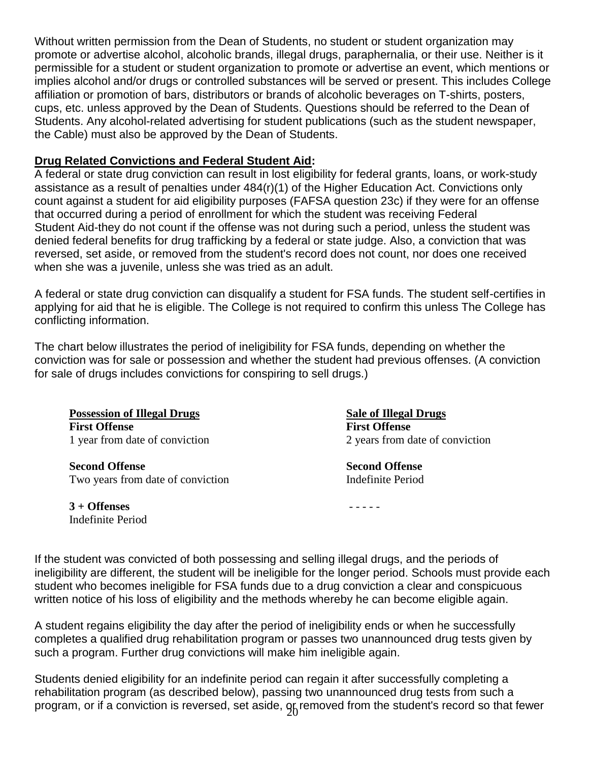Without written permission from the Dean of Students, no student or student organization may promote or advertise alcohol, alcoholic brands, illegal drugs, paraphernalia, or their use. Neither is it permissible for a student or student organization to promote or advertise an event, which mentions or implies alcohol and/or drugs or controlled substances will be served or present. This includes College affiliation or promotion of bars, distributors or brands of alcoholic beverages on T-shirts, posters, cups, etc. unless approved by the Dean of Students. Questions should be referred to the Dean of Students. Any alcohol-related advertising for student publications (such as the student newspaper, the Cable) must also be approved by the Dean of Students.

#### **Drug Related Convictions and Federal Student Aid:**

A federal or state drug conviction can result in lost eligibility for federal grants, loans, or work-study assistance as a result of penalties under 484(r)(1) of the Higher Education Act. Convictions only count against a student for aid eligibility purposes (FAFSA question 23c) if they were for an offense that occurred during a period of enrollment for which the student was receiving Federal Student Aid-they do not count if the offense was not during such a period, unless the student was denied federal benefits for drug trafficking by a federal or state judge. Also, a conviction that was reversed, set aside, or removed from the student's record does not count, nor does one received when she was a juvenile, unless she was tried as an adult.

A federal or state drug conviction can disqualify a student for FSA funds. The student self-certifies in applying for aid that he is eligible. The College is not required to confirm this unless The College has conflicting information.

The chart below illustrates the period of ineligibility for FSA funds, depending on whether the conviction was for sale or possession and whether the student had previous offenses. (A conviction for sale of drugs includes convictions for conspiring to sell drugs.)

**Possession of Illegal Drugs Sale of Illegal Drugs First Offense First Offense**

**Second Offense Second Offense** Two years from date of conviction Indefinite Period

1 year from date of conviction 2 years from date of conviction

**3 + Offenses** - - - - - Indefinite Period

If the student was convicted of both possessing and selling illegal drugs, and the periods of ineligibility are different, the student will be ineligible for the longer period. Schools must provide each student who becomes ineligible for FSA funds due to a drug conviction a clear and conspicuous written notice of his loss of eligibility and the methods whereby he can become eligible again.

A student regains eligibility the day after the period of ineligibility ends or when he successfully completes a qualified drug rehabilitation program or passes two unannounced drug tests given by such a program. Further drug convictions will make him ineligible again.

program, or if a conviction is reversed, set aside,  $\mathrm{g}_0$ removed from the student's record so that fewer Students denied eligibility for an indefinite period can regain it after successfully completing a rehabilitation program (as described below), passing two unannounced drug tests from such a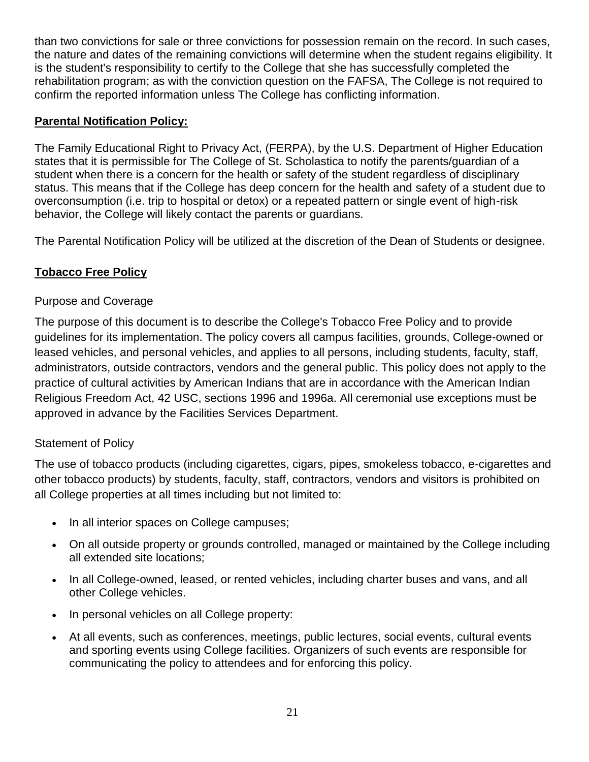than two convictions for sale or three convictions for possession remain on the record. In such cases, the nature and dates of the remaining convictions will determine when the student regains eligibility. It is the student's responsibility to certify to the College that she has successfully completed the rehabilitation program; as with the conviction question on the FAFSA, The College is not required to confirm the reported information unless The College has conflicting information.

### **Parental Notification Policy:**

The Family Educational Right to Privacy Act, (FERPA), by the U.S. Department of Higher Education states that it is permissible for The College of St. Scholastica to notify the parents/guardian of a student when there is a concern for the health or safety of the student regardless of disciplinary status. This means that if the College has deep concern for the health and safety of a student due to overconsumption (i.e. trip to hospital or detox) or a repeated pattern or single event of high-risk behavior, the College will likely contact the parents or guardians.

The Parental Notification Policy will be utilized at the discretion of the Dean of Students or designee.

# **Tobacco Free Policy**

# Purpose and Coverage

The purpose of this document is to describe the College's Tobacco Free Policy and to provide guidelines for its implementation. The policy covers all campus facilities, grounds, College-owned or leased vehicles, and personal vehicles, and applies to all persons, including students, faculty, staff, administrators, outside contractors, vendors and the general public. This policy does not apply to the practice of cultural activities by American Indians that are in accordance with the American Indian Religious Freedom Act, 42 USC, sections 1996 and 1996a. All ceremonial use exceptions must be approved in advance by the Facilities Services Department.

#### Statement of Policy

The use of tobacco products (including cigarettes, cigars, pipes, smokeless tobacco, e-cigarettes and other tobacco products) by students, faculty, staff, contractors, vendors and visitors is prohibited on all College properties at all times including but not limited to:

- In all interior spaces on College campuses;
- On all outside property or grounds controlled, managed or maintained by the College including all extended site locations;
- In all College-owned, leased, or rented vehicles, including charter buses and vans, and all other College vehicles.
- In personal vehicles on all College property:
- At all events, such as conferences, meetings, public lectures, social events, cultural events and sporting events using College facilities. Organizers of such events are responsible for communicating the policy to attendees and for enforcing this policy.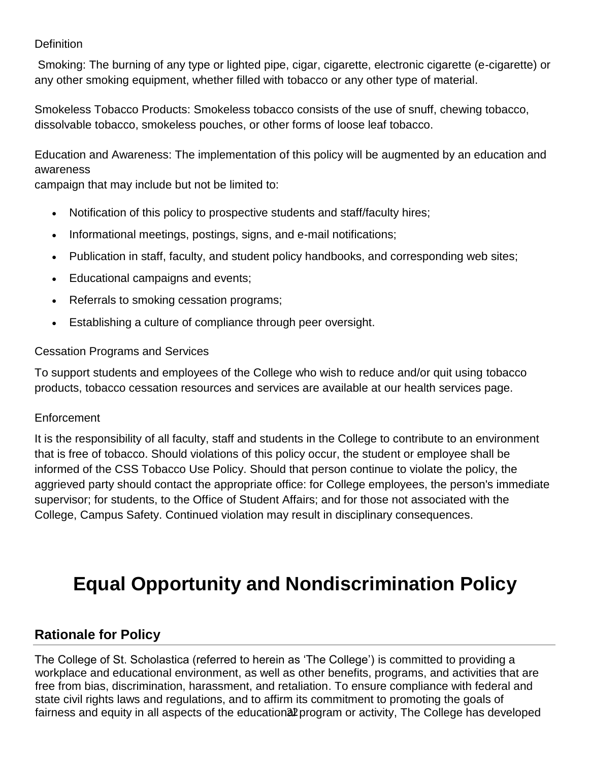### **Definition**

Smoking: The burning of any type or lighted pipe, cigar, cigarette, electronic cigarette (e-cigarette) or any other smoking equipment, whether filled with tobacco or any other type of material.

Smokeless Tobacco Products: Smokeless tobacco consists of the use of snuff, chewing tobacco, dissolvable tobacco, smokeless pouches, or other forms of loose leaf tobacco.

Education and Awareness: The implementation of this policy will be augmented by an education and awareness

campaign that may include but not be limited to:

- Notification of this policy to prospective students and staff/faculty hires;
- Informational meetings, postings, signs, and e-mail notifications;
- Publication in staff, faculty, and student policy handbooks, and corresponding web sites;
- Educational campaigns and events;
- Referrals to smoking cessation programs;
- Establishing a culture of compliance through peer oversight.

#### Cessation Programs and Services

To support students and employees of the College who wish to reduce and/or quit using tobacco products, tobacco cessation resources and services are available at [our health services page.](http://www.css.edu/student-affairs/student-center-for-health-and-well-being/student-health-service.html)

#### **Enforcement**

It is the responsibility of all faculty, staff and students in the College to contribute to an environment that is free of tobacco. Should violations of this policy occur, the student or employee shall be informed of the CSS Tobacco Use Policy. Should that person continue to violate the policy, the aggrieved party should contact the appropriate office: for College employees, the person's immediate supervisor; for students, to the Office of Student Affairs; and for those not associated with the College, Campus Safety. Continued violation may result in disciplinary consequences.

# **Equal Opportunity and Nondiscrimination Policy**

# **Rationale for Policy**

fairness and equity in all aspects of the education<sup>a p</sup>rogram or activity, The College has developed The College of St. Scholastica (referred to herein as 'The College') is committed to providing a workplace and educational environment, as well as other benefits, programs, and activities that are free from bias, discrimination, harassment, and retaliation. To ensure compliance with federal and state civil rights laws and regulations, and to affirm its commitment to promoting the goals of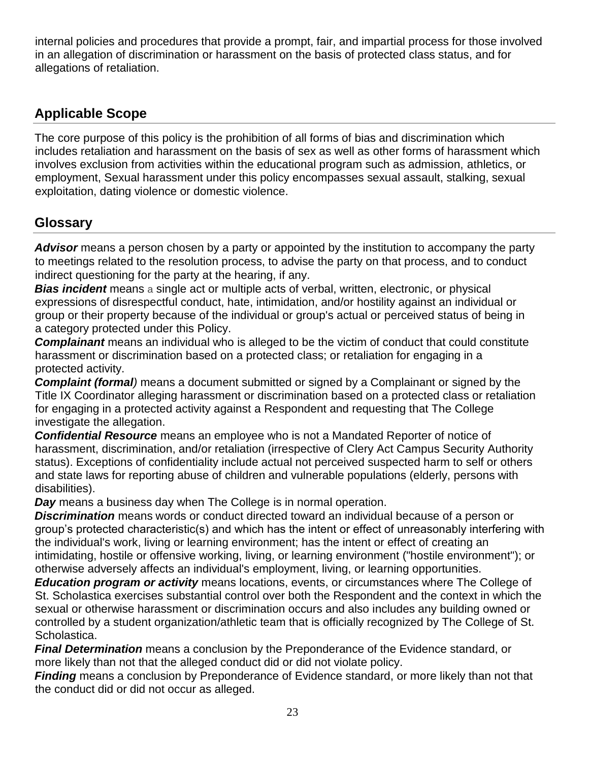internal policies and procedures that provide a prompt, fair, and impartial process for those involved in an allegation of discrimination or harassment on the basis of protected class status, and for allegations of retaliation.

# **Applicable Scope**

The core purpose of this policy is the prohibition of all forms of bias and discrimination which includes retaliation and harassment on the basis of sex as well as other forms of harassment which involves exclusion from activities within the educational program such as admission, athletics, or employment, Sexual harassment under this policy encompasses sexual assault, stalking, sexual exploitation, dating violence or domestic violence.

# **Glossary**

*Advisor* means a person chosen by a party or appointed by the institution to accompany the party to meetings related to the resolution process, to advise the party on that process, and to conduct indirect questioning for the party at the hearing, if any.

*Bias incident* means a single act or multiple acts of verbal, written, electronic, or physical expressions of disrespectful conduct, hate, intimidation, and/or hostility against an individual or group or their property because of the individual or group's actual or perceived status of being in a category protected under this Policy.

*Complainant* means an individual who is alleged to be the victim of conduct that could constitute harassment or discrimination based on a protected class; or retaliation for engaging in a protected activity.

*Complaint (formal)* means a document submitted or signed by a Complainant or signed by the Title IX Coordinator alleging harassment or discrimination based on a protected class or retaliation for engaging in a protected activity against a Respondent and requesting that The College investigate the allegation.

*Confidential Resource* means an employee who is not a Mandated Reporter of notice of harassment, discrimination, and/or retaliation (irrespective of Clery Act Campus Security Authority status). Exceptions of confidentiality include actual not perceived suspected harm to self or others and state laws for reporting abuse of children and vulnerable populations (elderly, persons with disabilities).

*Day* means a business day when The College is in normal operation.

*Discrimination* means words or conduct directed toward an individual because of a person or group's protected characteristic(s) and which has the intent or effect of unreasonably interfering with the individual's work, living or learning environment; has the intent or effect of creating an intimidating, hostile or offensive working, living, or learning environment ("hostile environment"); or otherwise adversely affects an individual's employment, living, or learning opportunities.

*Education program or activity* means locations, events, or circumstances where The College of St. Scholastica exercises substantial control over both the Respondent and the context in which the sexual or otherwise harassment or discrimination occurs and also includes any building owned or controlled by a student organization/athletic team that is officially recognized by The College of St. Scholastica.

*Final Determination* means a conclusion by the Preponderance of the Evidence standard, or more likely than not that the alleged conduct did or did not violate policy.

*Finding* means a conclusion by Preponderance of Evidence standard, or more likely than not that the conduct did or did not occur as alleged.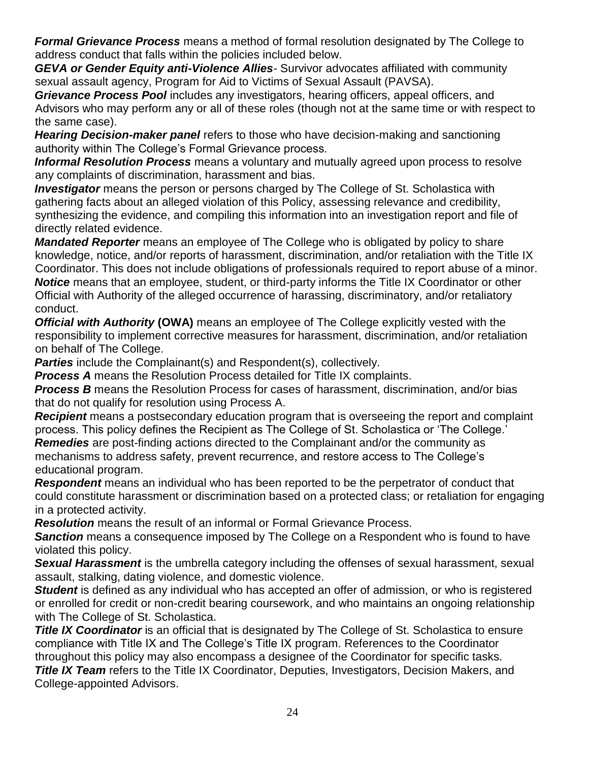*Formal Grievance Process* means a method of formal resolution designated by The College to address conduct that falls within the policies included below.

*GEVA or Gender Equity anti-Violence Allies-* Survivor advocates affiliated with community sexual assault agency, Program for Aid to Victims of Sexual Assault (PAVSA).

*Grievance Process Pool* includes any investigators, hearing officers, appeal officers, and Advisors who may perform any or all of these roles (though not at the same time or with respect to the same case).

*Hearing Decision-maker panel* refers to those who have decision-making and sanctioning authority within The College's Formal Grievance process.

*Informal Resolution Process* means a voluntary and mutually agreed upon process to resolve any complaints of discrimination, harassment and bias.

*Investigator* means the person or persons charged by The College of St. Scholastica with gathering facts about an alleged violation of this Policy, assessing relevance and credibility, synthesizing the evidence, and compiling this information into an investigation report and file of directly related evidence.

*Mandated Reporter* means an employee of The College who is obligated by policy to share knowledge, notice, and/or reports of harassment, discrimination, and/or retaliation with the Title IX Coordinator. This does not include obligations of professionals required to report abuse of a minor. *Notice* means that an employee, student, or third-party informs the Title IX Coordinator or other Official with Authority of the alleged occurrence of harassing, discriminatory, and/or retaliatory conduct.

*Official with Authority* **(OWA)** means an employee of The College explicitly vested with the responsibility to implement corrective measures for harassment, discrimination, and/or retaliation on behalf of The College.

**Parties** include the Complainant(s) and Respondent(s), collectively.

**Process A** means the Resolution Process detailed for Title IX complaints.

*Process B* means the Resolution Process for cases of harassment, discrimination, and/or bias that do not qualify for resolution using Process A.

*Recipient* means a postsecondary education program that is overseeing the report and complaint process. This policy defines the Recipient as The College of St. Scholastica or 'The College.' *Remedies* are post-finding actions directed to the Complainant and/or the community as mechanisms to address safety, prevent recurrence, and restore access to The College's educational program.

*Respondent* means an individual who has been reported to be the perpetrator of conduct that could constitute harassment or discrimination based on a protected class; or retaliation for engaging in a protected activity.

*Resolution* means the result of an informal or Formal Grievance Process.

**Sanction** means a consequence imposed by The College on a Respondent who is found to have violated this policy.

*Sexual Harassment* is the umbrella category including the offenses of sexual harassment, sexual assault, stalking, dating violence, and domestic violence.

*Student* is defined as any individual who has accepted an offer of admission, or who is registered or enrolled for credit or non-credit bearing coursework, and who maintains an ongoing relationship with The College of St. Scholastica.

**Title IX Coordinator** is an official that is designated by The College of St. Scholastica to ensure compliance with Title IX and The College's Title IX program. References to the Coordinator throughout this policy may also encompass a designee of the Coordinator for specific tasks.

**Title IX Team** refers to the Title IX Coordinator, Deputies, Investigators, Decision Makers, and College-appointed Advisors.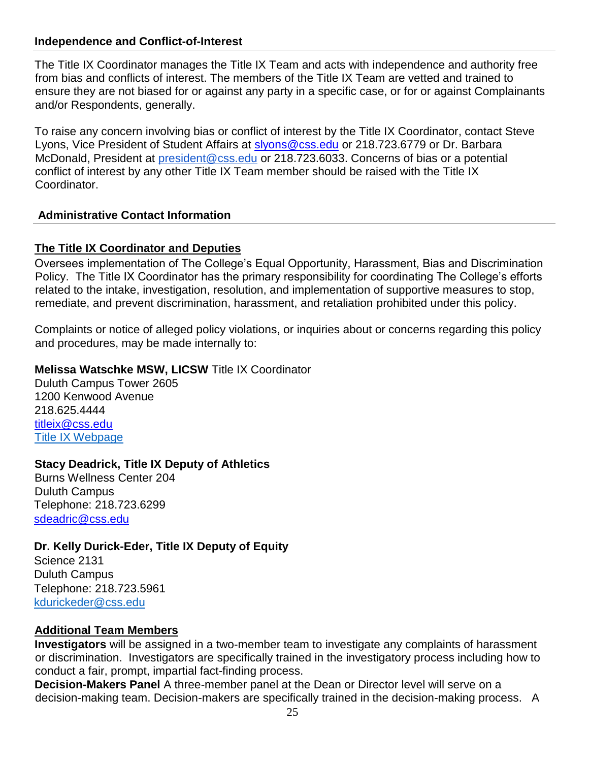#### **Independence and Conflict-of-Interest**

The Title IX Coordinator manages the Title IX Team and acts with independence and authority free from bias and conflicts of interest. The members of the Title IX Team are vetted and trained to ensure they are not biased for or against any party in a specific case, or for or against Complainants and/or Respondents, generally.

To raise any concern involving bias or conflict of interest by the Title IX Coordinator, contact Steve Lyons, Vice President of Student Affairs at [slyons@css.edu](mailto:slyons@css.edu) or 218.723.6779 or Dr. Barbara McDonald, President at *president@css.edu* or 218.723.6033. Concerns of bias or a potential conflict of interest by any other Title IX Team member should be raised with the Title IX Coordinator.

#### **Administrative Contact Information**

#### **The Title IX Coordinator and Deputies**

Oversees implementation of The College's Equal Opportunity, Harassment, Bias and Discrimination Policy. The Title IX Coordinator has the primary responsibility for coordinating The College's efforts related to the intake, investigation, resolution, and implementation of supportive measures to stop, remediate, and prevent discrimination, harassment, and retaliation prohibited under this policy.

Complaints or notice of alleged policy violations, or inquiries about or concerns regarding this policy and procedures, may be made internally to:

#### **Melissa Watschke MSW, LICSW** Title IX Coordinator

Duluth Campus Tower 2605 1200 Kenwood Avenue 218.625.4444 [titleix@css.edu](mailto:titleix@css.edu) [Title IX Webpage](http://www.css.edu/titleix)

#### **Stacy Deadrick, Title IX Deputy of Athletics**

Burns Wellness Center 204 Duluth Campus Telephone: 218.723.6299 [sdeadric@css.edu](mailto:sdeadric@css.edu)

#### **Dr. Kelly Durick-Eder, Title IX Deputy of Equity**

Science 2131 Duluth Campus Telephone: 218.723.5961 [kdurickeder@css.edu](mailto:kdurickeder@css.edu)

### **Additional Team Members**

**Investigators** will be assigned in a two-member team to investigate any complaints of harassment or discrimination. Investigators are specifically trained in the investigatory process including how to conduct a fair, prompt, impartial fact-finding process.

**Decision-Makers Panel** A three-member panel at the Dean or Director level will serve on a decision-making team. Decision-makers are specifically trained in the decision-making process. A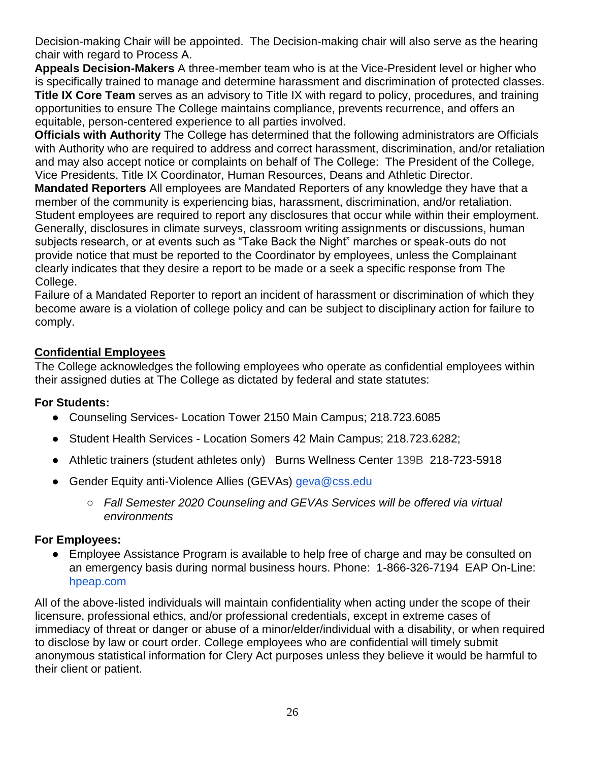Decision-making Chair will be appointed. The Decision-making chair will also serve as the hearing chair with regard to Process A.

**Appeals Decision-Makers** A three-member team who is at the Vice-President level or higher who is specifically trained to manage and determine harassment and discrimination of protected classes. **Title IX Core Team** serves as an advisory to Title IX with regard to policy, procedures, and training opportunities to ensure The College maintains compliance, prevents recurrence, and offers an equitable, person-centered experience to all parties involved.

**Officials with Authority** The College has determined that the following administrators are Officials with Authority who are required to address and correct harassment, discrimination, and/or retaliation and may also accept notice or complaints on behalf of The College: The President of the College, Vice Presidents, Title IX Coordinator, Human Resources, Deans and Athletic Director.

**Mandated Reporters** All employees are Mandated Reporters of any knowledge they have that a member of the community is experiencing bias, harassment, discrimination, and/or retaliation. Student employees are required to report any disclosures that occur while within their employment. Generally, disclosures in climate surveys, classroom writing assignments or discussions, human subjects research, or at events such as "Take Back the Night" marches or speak-outs do not provide notice that must be reported to the Coordinator by employees, unless the Complainant clearly indicates that they desire a report to be made or a seek a specific response from The College.

Failure of a Mandated Reporter to report an incident of harassment or discrimination of which they become aware is a violation of college policy and can be subject to disciplinary action for failure to comply.

# **Confidential Employees**

The College acknowledges the following employees who operate as confidential employees within their assigned duties at The College as dictated by federal and state statutes:

#### **For Students:**

- Counseling Services- Location Tower 2150 Main Campus; 218.723.6085
- Student Health Services Location Somers 42 Main Campus; 218.723.6282;
- Athletic trainers (student athletes only) Burns Wellness Center 139B 218-723-5918
- Gender Equity anti-Violence Allies (GEVAs) [geva@css.edu](mailto:geva@css.edu)
	- *Fall Semester 2020 Counseling and GEVAs Services will be offered via virtual environments*

#### **For Employees:**

● Employee Assistance Program is available to help free of charge and may be consulted on an emergency basis during normal business hours. Phone: 1-866-326-7194 EAP On-Line: [hpeap.com](http://hpeap.com/) 

All of the above-listed individuals will maintain confidentiality when acting under the scope of their licensure, professional ethics, and/or professional credentials, except in extreme cases of immediacy of threat or danger or abuse of a minor/elder/individual with a disability, or when required to disclose by law or court order. College employees who are confidential will timely submit anonymous statistical information for Clery Act purposes unless they believe it would be harmful to their client or patient.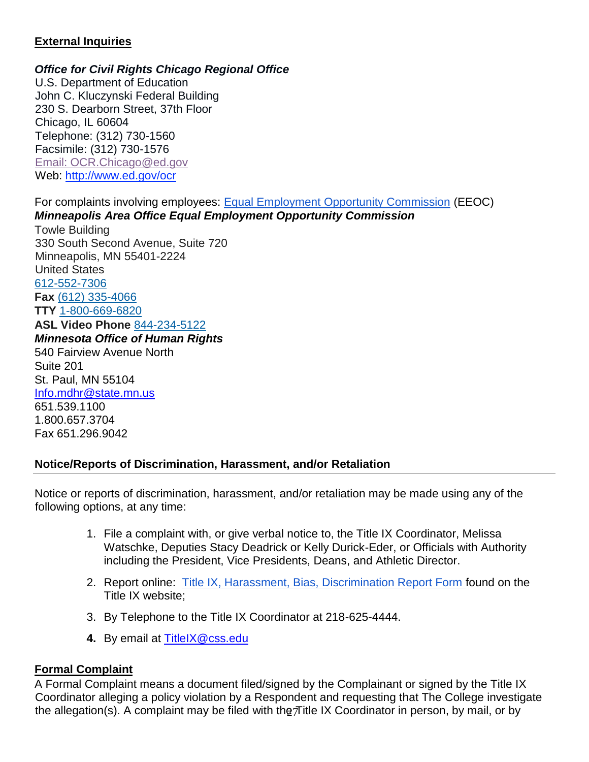#### **External Inquiries**

#### *Office for Civil Rights Chicago Regional Office*

U.S. Department of Education John C. Kluczynski Federal Building 230 S. Dearborn Street, 37th Floor Chicago, IL 60604 Telephone: (312) 730-1560 Facsimile: (312) 730-1576 [Email: OCR.Chicago@ed.gov](mailto:OCR.Chicago@ed.gov) Web: [http://www.ed.gov/ocr](http://www2.ed.gov/about/offices/list/ocr/index.html)

For complaints involving employees: [Equal Employment Opportunity Commission](http://www.eeoc.gov/contact/) [\(](http://www.eeoc.gov/contact/)EEOC) *Minneapolis Area Office Equal Employment Opportunity Commission* Towle Building 330 South Second Avenue, Suite 720 Minneapolis, MN 55401-2224 United States [612-552-7306](about:blank) **Fax** [\(612\) 335-4066](about:blank) **TTY** [1-800-669-6820](about:blank) **ASL Video Phone** [844-234-5122](about:blank) *Minnesota Office of Human Rights* 540 Fairview Avenue North Suite 201 St. Paul, MN 55104 [Info.mdhr@state.mn.us](mailto:Info.mdhr@state.mn.us) 651.539.1100 1.800.657.3704 Fax 651.296.9042

#### **Notice/Reports of Discrimination, Harassment, and/or Retaliation**

Notice or reports of discrimination, harassment, and/or retaliation may be made using any of the following options, at any time:

- 1. File a complaint with, or give verbal notice to, the Title IX Coordinator, Melissa Watschke, Deputies Stacy Deadrick or Kelly Durick-Eder, or Officials with Authority including the President, Vice Presidents, Deans, and Athletic Director.
- 2. Report online: [Title IX, Harassment, Bias, Discrimination Report Form f](https://css-advocate.symplicity.com/titleix_report/index.php/pid567890?rep_type=2)ound on the Title IX website;
- 3. By Telephone to the Title IX Coordinator at 218-625-4444.
- **4.** By email at [TitleIX@css.edu](mailto:TitleIX@css.edu)

# **Formal Complaint**

the allegation(s). A complaint may be filed with the Title IX Coordinator in person, by mail, or by A Formal Complaint means a document filed/signed by the Complainant or signed by the Title IX Coordinator alleging a policy violation by a Respondent and requesting that The College investigate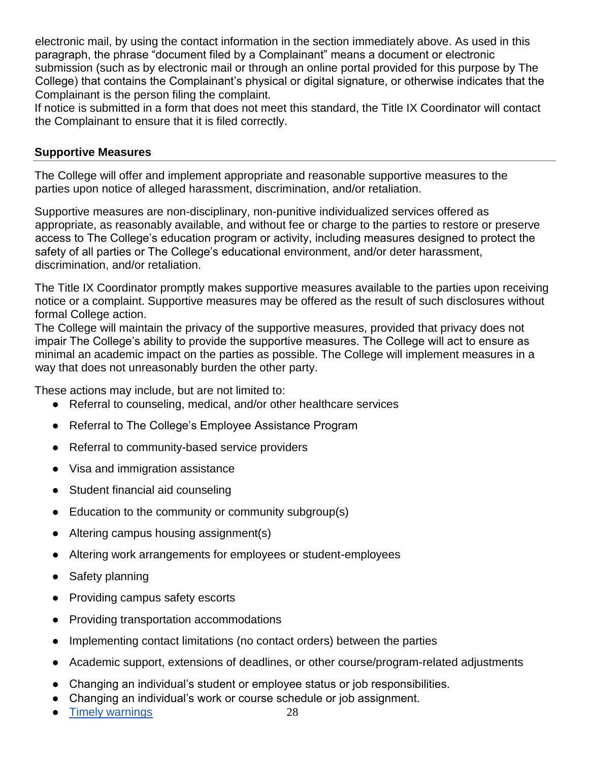electronic mail, by using the contact information in the section immediately above. As used in this paragraph, the phrase "document filed by a Complainant" means a document or electronic submission (such as by electronic mail or through an online portal provided for this purpose by The College) that contains the Complainant's physical or digital signature, or otherwise indicates that the Complainant is the person filing the complaint.

If notice is submitted in a form that does not meet this standard, the Title IX Coordinator will contact the Complainant to ensure that it is filed correctly.

#### **Supportive Measures**

The College will offer and implement appropriate and reasonable supportive measures to the parties upon notice of alleged harassment, discrimination, and/or retaliation.

Supportive measures are non-disciplinary, non-punitive individualized services offered as appropriate, as reasonably available, and without fee or charge to the parties to restore or preserve access to The College's education program or activity, including measures designed to protect the safety of all parties or The College's educational environment, and/or deter harassment, discrimination, and/or retaliation.

The Title IX Coordinator promptly makes supportive measures available to the parties upon receiving notice or a complaint. Supportive measures may be offered as the result of such disclosures without formal College action.

The College will maintain the privacy of the supportive measures, provided that privacy does not impair The College's ability to provide the supportive measures. The College will act to ensure as minimal an academic impact on the parties as possible. The College will implement measures in a way that does not unreasonably burden the other party.

These actions may include, but are not limited to:

- Referral to counseling, medical, and/or other healthcare services
- Referral to The College's Employee Assistance Program
- Referral to community-based service providers
- Visa and immigration assistance
- Student financial aid counseling
- Education to the community or community subgroup(s)
- Altering campus housing assignment(s)
- Altering work arrangements for employees or student-employees
- Safety planning
- Providing campus safety escorts
- Providing transportation accommodations
- Implementing contact limitations (no contact orders) between the parties
- Academic support, extensions of deadlines, or other course/program-related adjustments
- Changing an individual's student or employee status or job responsibilities.
- Changing an individual's work or course schedule or job assignment.
- **[Timely warnings](http://ncsam.clerycenter.org/wp-content/uploads/NCSAM18_Timely-Warning-Guide.pdf)**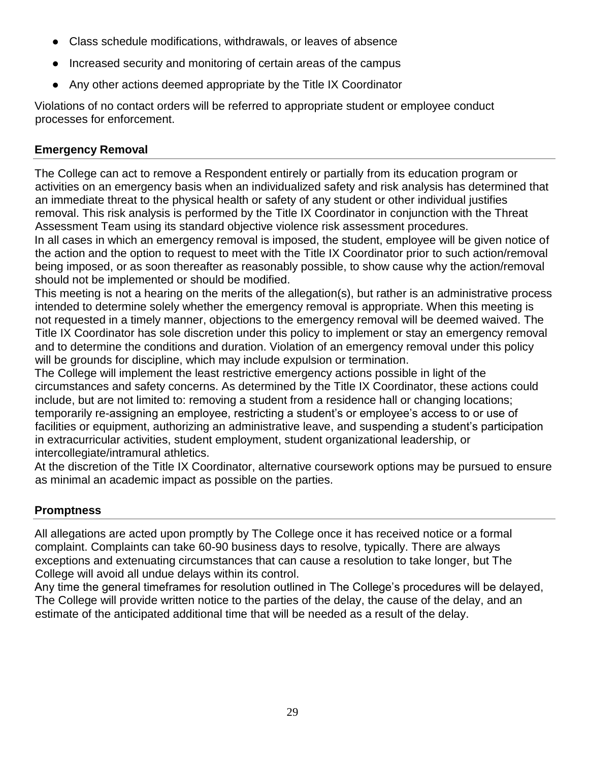- Class schedule modifications, withdrawals, or leaves of absence
- Increased security and monitoring of certain areas of the campus
- Any other actions deemed appropriate by the Title IX Coordinator

Violations of no contact orders will be referred to appropriate student or employee conduct processes for enforcement.

### **Emergency Removal**

The College can act to remove a Respondent entirely or partially from its education program or activities on an emergency basis when an individualized safety and risk analysis has determined that an immediate threat to the physical health or safety of any student or other individual justifies removal. This risk analysis is performed by the Title IX Coordinator in conjunction with the Threat Assessment Team using its standard objective violence risk assessment procedures. In all cases in which an emergency removal is imposed, the student, employee will be given notice of

the action and the option to request to meet with the Title IX Coordinator prior to such action/removal being imposed, or as soon thereafter as reasonably possible, to show cause why the action/removal should not be implemented or should be modified.

This meeting is not a hearing on the merits of the allegation(s), but rather is an administrative process intended to determine solely whether the emergency removal is appropriate. When this meeting is not requested in a timely manner, objections to the emergency removal will be deemed waived. The Title IX Coordinator has sole discretion under this policy to implement or stay an emergency removal and to determine the conditions and duration. Violation of an emergency removal under this policy will be grounds for discipline, which may include expulsion or termination.

The College will implement the least restrictive emergency actions possible in light of the circumstances and safety concerns. As determined by the Title IX Coordinator, these actions could include, but are not limited to: removing a student from a residence hall or changing locations; temporarily re-assigning an employee, restricting a student's or employee's access to or use of facilities or equipment, authorizing an administrative leave, and suspending a student's participation in extracurricular activities, student employment, student organizational leadership, or intercollegiate/intramural athletics.

At the discretion of the Title IX Coordinator, alternative coursework options may be pursued to ensure as minimal an academic impact as possible on the parties.

#### **Promptness**

All allegations are acted upon promptly by The College once it has received notice or a formal complaint. Complaints can take 60-90 business days to resolve, typically. There are always exceptions and extenuating circumstances that can cause a resolution to take longer, but The College will avoid all undue delays within its control.

Any time the general timeframes for resolution outlined in The College's procedures will be delayed, The College will provide written notice to the parties of the delay, the cause of the delay, and an estimate of the anticipated additional time that will be needed as a result of the delay.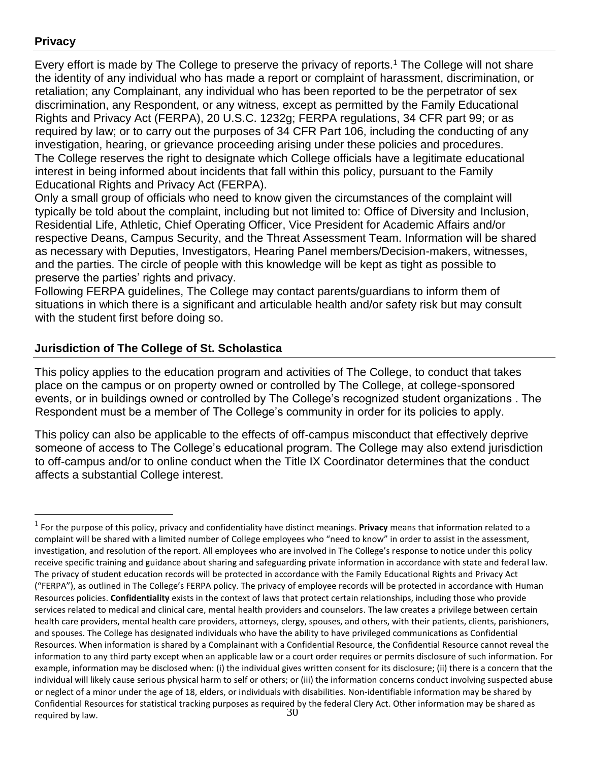# **Privacy**

 $\overline{a}$ 

Every effort is made by The College to preserve the privacy of reports.<sup>1</sup> The College will not share the identity of any individual who has made a report or complaint of harassment, discrimination, or retaliation; any Complainant, any individual who has been reported to be the perpetrator of sex discrimination, any Respondent, or any witness, except as permitted by the Family Educational Rights and Privacy Act (FERPA), 20 U.S.C. 1232g; FERPA regulations, 34 CFR part 99; or as required by law; or to carry out the purposes of 34 CFR Part 106, including the conducting of any investigation, hearing, or grievance proceeding arising under these policies and procedures. The College reserves the right to designate which College officials have a legitimate educational interest in being informed about incidents that fall within this policy, pursuant to the Family Educational Rights and Privacy Act (FERPA).

Only a small group of officials who need to know given the circumstances of the complaint will typically be told about the complaint, including but not limited to: Office of Diversity and Inclusion, Residential Life, Athletic, Chief Operating Officer, Vice President for Academic Affairs and/or respective Deans, Campus Security, and the Threat Assessment Team. Information will be shared as necessary with Deputies, Investigators, Hearing Panel members/Decision-makers, witnesses, and the parties. The circle of people with this knowledge will be kept as tight as possible to preserve the parties' rights and privacy.

Following FERPA guidelines, The College may contact parents/guardians to inform them of situations in which there is a significant and articulable health and/or safety risk but may consult with the student first before doing so.

#### **Jurisdiction of The College of St. Scholastica**

This policy applies to the education program and activities of The College, to conduct that takes place on the campus or on property owned or controlled by The College, at college-sponsored events, or in buildings owned or controlled by The College's recognized student organizations . The Respondent must be a member of The College's community in order for its policies to apply.

This policy can also be applicable to the effects of off-campus misconduct that effectively deprive someone of access to The College's educational program. The College may also extend jurisdiction to off-campus and/or to online conduct when the Title IX Coordinator determines that the conduct affects a substantial College interest.

<sup>30</sup> 1 For the purpose of this policy, privacy and confidentiality have distinct meanings. **Privacy** means that information related to a complaint will be shared with a limited number of College employees who "need to know" in order to assist in the assessment, investigation, and resolution of the report. All employees who are involved in The College's response to notice under this policy receive specific training and guidance about sharing and safeguarding private information in accordance with state and federal law. The privacy of student education records will be protected in accordance with the Family Educational Rights and Privacy Act ("FERPA"), as outlined in The College's FERPA policy. The privacy of employee records will be protected in accordance with Human Resources policies. **Confidentiality** exists in the context of laws that protect certain relationships, including those who provide services related to medical and clinical care, mental health providers and counselors. The law creates a privilege between certain health care providers, mental health care providers, attorneys, clergy, spouses, and others, with their patients, clients, parishioners, and spouses. The College has designated individuals who have the ability to have privileged communications as Confidential Resources. When information is shared by a Complainant with a Confidential Resource, the Confidential Resource cannot reveal the information to any third party except when an applicable law or a court order requires or permits disclosure of such information. For example, information may be disclosed when: (i) the individual gives written consent for its disclosure; (ii) there is a concern that the individual will likely cause serious physical harm to self or others; or (iii) the information concerns conduct involving suspected abuse or neglect of a minor under the age of 18, elders, or individuals with disabilities. Non-identifiable information may be shared by Confidential Resources for statistical tracking purposes as required by the federal Clery Act. Other information may be shared as required by law.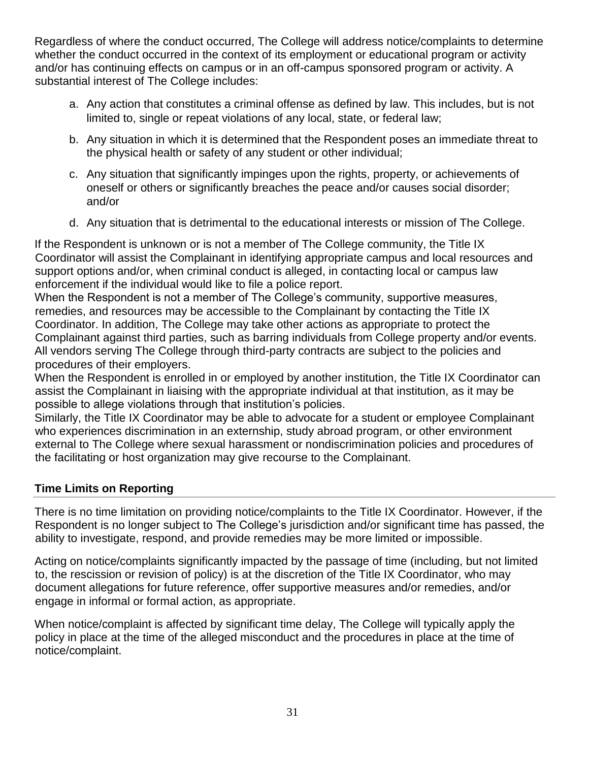Regardless of where the conduct occurred, The College will address notice/complaints to determine whether the conduct occurred in the context of its employment or educational program or activity and/or has continuing effects on campus or in an off-campus sponsored program or activity. A substantial interest of The College includes:

- a. Any action that constitutes a criminal offense as defined by law. This includes, but is not limited to, single or repeat violations of any local, state, or federal law;
- b. Any situation in which it is determined that the Respondent poses an immediate threat to the physical health or safety of any student or other individual;
- c. Any situation that significantly impinges upon the rights, property, or achievements of oneself or others or significantly breaches the peace and/or causes social disorder; and/or
- d. Any situation that is detrimental to the educational interests or mission of The College.

If the Respondent is unknown or is not a member of The College community, the Title IX Coordinator will assist the Complainant in identifying appropriate campus and local resources and support options and/or, when criminal conduct is alleged, in contacting local or campus law enforcement if the individual would like to file a police report.

When the Respondent is not a member of The College's community, supportive measures, remedies, and resources may be accessible to the Complainant by contacting the Title IX Coordinator. In addition, The College may take other actions as appropriate to protect the Complainant against third parties, such as barring individuals from College property and/or events. All vendors serving The College through third-party contracts are subject to the policies and procedures of their employers.

When the Respondent is enrolled in or employed by another institution, the Title IX Coordinator can assist the Complainant in liaising with the appropriate individual at that institution, as it may be possible to allege violations through that institution's policies.

Similarly, the Title IX Coordinator may be able to advocate for a student or employee Complainant who experiences discrimination in an externship, study abroad program, or other environment external to The College where sexual harassment or nondiscrimination policies and procedures of the facilitating or host organization may give recourse to the Complainant.

# **Time Limits on Reporting**

There is no time limitation on providing notice/complaints to the Title IX Coordinator. However, if the Respondent is no longer subject to The College's jurisdiction and/or significant time has passed, the ability to investigate, respond, and provide remedies may be more limited or impossible.

Acting on notice/complaints significantly impacted by the passage of time (including, but not limited to, the rescission or revision of policy) is at the discretion of the Title IX Coordinator, who may document allegations for future reference, offer supportive measures and/or remedies, and/or engage in informal or formal action, as appropriate.

When notice/complaint is affected by significant time delay, The College will typically apply the policy in place at the time of the alleged misconduct and the procedures in place at the time of notice/complaint.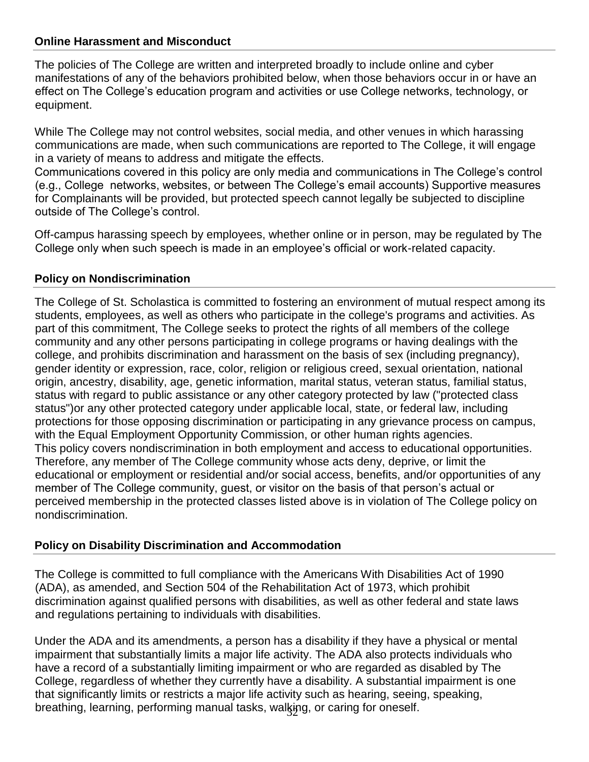#### **Online Harassment and Misconduct**

The policies of The College are written and interpreted broadly to include online and cyber manifestations of any of the behaviors prohibited below, when those behaviors occur in or have an effect on The College's education program and activities or use College networks, technology, or equipment.

While The College may not control websites, social media, and other venues in which harassing communications are made, when such communications are reported to The College, it will engage in a variety of means to address and mitigate the effects.

Communications covered in this policy are only media and communications in The College's control (e.g., College networks, websites, or between The College's email accounts) Supportive measures for Complainants will be provided, but protected speech cannot legally be subjected to discipline outside of The College's control.

Off-campus harassing speech by employees, whether online or in person, may be regulated by The College only when such speech is made in an employee's official or work-related capacity.

#### **Policy on Nondiscrimination**

The College of St. Scholastica is committed to fostering an environment of mutual respect among its students, employees, as well as others who participate in the college's programs and activities. As part of this commitment, The College seeks to protect the rights of all members of the college community and any other persons participating in college programs or having dealings with the college, and prohibits discrimination and harassment on the basis of sex (including pregnancy), gender identity or expression, race, color, religion or religious creed, sexual orientation, national origin, ancestry, disability, age, genetic information, marital status, veteran status, familial status, status with regard to public assistance or any other category protected by law ("protected class status")or any other protected category under applicable local, state, or federal law, including protections for those opposing discrimination or participating in any grievance process on campus, with the Equal Employment Opportunity Commission, or other human rights agencies. This policy covers nondiscrimination in both employment and access to educational opportunities. Therefore, any member of The College community whose acts deny, deprive, or limit the educational or employment or residential and/or social access, benefits, and/or opportunities of any member of The College community, guest, or visitor on the basis of that person's actual or perceived membership in the protected classes listed above is in violation of The College policy on nondiscrimination.

#### **Policy on Disability Discrimination and Accommodation**

The College is committed to full compliance with the Americans With Disabilities Act of 1990 (ADA), as amended, and Section 504 of the Rehabilitation Act of 1973, which prohibit discrimination against qualified persons with disabilities, as well as other federal and state laws and regulations pertaining to individuals with disabilities.

breathing, learning, performing manual tasks, walk̥ing, or caring for oneself. Under the ADA and its amendments, a person has a disability if they have a physical or mental impairment that substantially limits a major life activity. The ADA also protects individuals who have a record of a substantially limiting impairment or who are regarded as disabled by The College, regardless of whether they currently have a disability. A substantial impairment is one that significantly limits or restricts a major life activity such as hearing, seeing, speaking,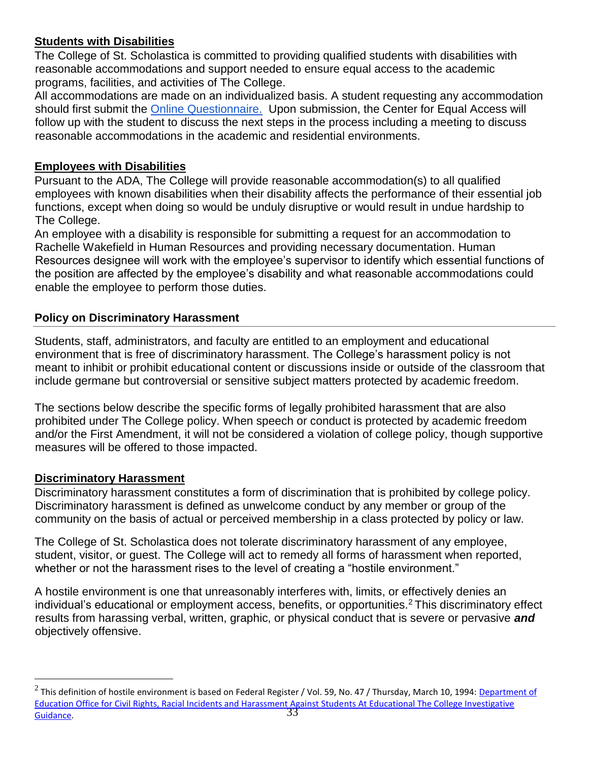# **Students with Disabilities**

The College of St. Scholastica is committed to providing qualified students with disabilities with reasonable accommodations and support needed to ensure equal access to the academic programs, facilities, and activities of The College.

All accommodations are made on an individualized basis. A student requesting any accommodation should first submit the **Online Questionnaire.** Upon submission, the Center for Equal Access will follow up with the student to discuss the next steps in the process including a meeting to discuss reasonable accommodations in the academic and residential environments.

# **Employees with Disabilities**

Pursuant to the ADA, The College will provide reasonable accommodation(s) to all qualified employees with known disabilities when their disability affects the performance of their essential job functions, except when doing so would be unduly disruptive or would result in undue hardship to The College.

An employee with a disability is responsible for submitting a request for an accommodation to Rachelle Wakefield in Human Resources and providing necessary documentation. Human Resources designee will work with the employee's supervisor to identify which essential functions of the position are affected by the employee's disability and what reasonable accommodations could enable the employee to perform those duties.

# **Policy on Discriminatory Harassment**

Students, staff, administrators, and faculty are entitled to an employment and educational environment that is free of discriminatory harassment. The College's harassment policy is not meant to inhibit or prohibit educational content or discussions inside or outside of the classroom that include germane but controversial or sensitive subject matters protected by academic freedom.

The sections below describe the specific forms of legally prohibited harassment that are also prohibited under The College policy. When speech or conduct is protected by academic freedom and/or the First Amendment, it will not be considered a violation of college policy, though supportive measures will be offered to those impacted.

# **Discriminatory Harassment**

 $\overline{a}$ 

Discriminatory harassment constitutes a form of discrimination that is prohibited by college policy. Discriminatory harassment is defined as unwelcome conduct by any member or group of the community on the basis of actual or perceived membership in a class protected by policy or law.

The College of St. Scholastica does not tolerate discriminatory harassment of any employee, student, visitor, or guest. The College will act to remedy all forms of harassment when reported, whether or not the harassment rises to the level of creating a "hostile environment."

A hostile environment is one that unreasonably interferes with, limits, or effectively denies an individual's educational or employment access, benefits, or opportunities.<sup>2</sup> This discriminatory effect results from harassing verbal, written, graphic, or physical conduct that is severe or pervasive *and* objectively offensive.

<sup>33</sup>  $^2$  This definition of hostile environment is based on Federal Register / Vol. 59, No. 47 / Thursday, March 10, 1994: <u>Department of</u> [Education Office for Civil Rights, Racial Incidents and Harassment Against Students At Educational The College Investigative](http://www.ed.gov/about/offices/list/ocr/docs/race394.html.)  [Guidance.](http://www.ed.gov/about/offices/list/ocr/docs/race394.html.)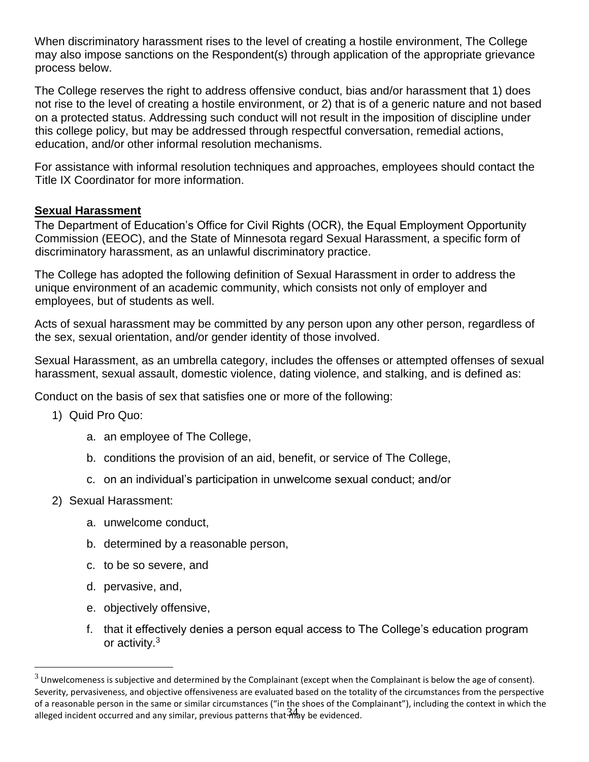When discriminatory harassment rises to the level of creating a hostile environment, The College may also impose sanctions on the Respondent(s) through application of the appropriate grievance process below.

The College reserves the right to address offensive conduct, bias and/or harassment that 1) does not rise to the level of creating a hostile environment, or 2) that is of a generic nature and not based on a protected status. Addressing such conduct will not result in the imposition of discipline under this college policy, but may be addressed through respectful conversation, remedial actions, education, and/or other informal resolution mechanisms.

For assistance with informal resolution techniques and approaches, employees should contact the Title IX Coordinator for more information.

#### **Sexual Harassment**

The Department of Education's Office for Civil Rights (OCR), the Equal Employment Opportunity Commission (EEOC), and the State of Minnesota regard Sexual Harassment, a specific form of discriminatory harassment, as an unlawful discriminatory practice.

The College has adopted the following definition of Sexual Harassment in order to address the unique environment of an academic community, which consists not only of employer and employees, but of students as well.

Acts of sexual harassment may be committed by any person upon any other person, regardless of the sex, sexual orientation, and/or gender identity of those involved.

Sexual Harassment, as an umbrella category, includes the offenses or attempted offenses of sexual harassment, sexual assault, domestic violence, dating violence, and stalking, and is defined as:

Conduct on the basis of sex that satisfies one or more of the following:

- 1) Quid Pro Quo:
	- a. an employee of The College,
	- b. conditions the provision of an aid, benefit, or service of The College,
	- c. on an individual's participation in unwelcome sexual conduct; and/or
- 2) Sexual Harassment:

 $\overline{a}$ 

- a. unwelcome conduct,
- b. determined by a reasonable person,
- c. to be so severe, and
- d. pervasive, and,
- e. objectively offensive,
- f. that it effectively denies a person equal access to The College's education program or activity.<sup>3</sup>

alleged incident occurred and any similar, previous patterns that thay be evidenced.  $3$  Unwelcomeness is subjective and determined by the Complainant (except when the Complainant is below the age of consent). Severity, pervasiveness, and objective offensiveness are evaluated based on the totality of the circumstances from the perspective of a reasonable person in the same or similar circumstances ("in the shoes of the Complainant"), including the context in which the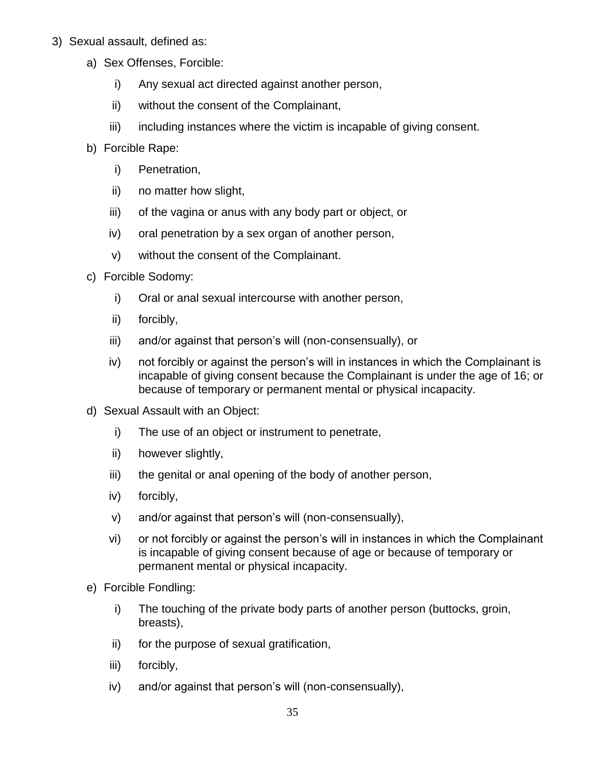- 3) Sexual assault, defined as:
	- a) Sex Offenses, Forcible:
		- i) Any sexual act directed against another person,
		- ii) without the consent of the Complainant,
		- iii) including instances where the victim is incapable of giving consent.
	- b) Forcible Rape:
		- i) Penetration,
		- ii) no matter how slight,
		- iii) of the vagina or anus with any body part or object, or
		- iv) oral penetration by a sex organ of another person,
		- v) without the consent of the Complainant.
	- c) Forcible Sodomy:
		- i) Oral or anal sexual intercourse with another person,
		- ii) forcibly,
		- iii) and/or against that person's will (non-consensually), or
		- iv) not forcibly or against the person's will in instances in which the Complainant is incapable of giving consent because the Complainant is under the age of 16; or because of temporary or permanent mental or physical incapacity.
	- d) Sexual Assault with an Object:
		- i) The use of an object or instrument to penetrate,
		- ii) however slightly,
		- iii) the genital or anal opening of the body of another person,
		- iv) forcibly,
		- v) and/or against that person's will (non-consensually),
		- vi) or not forcibly or against the person's will in instances in which the Complainant is incapable of giving consent because of age or because of temporary or permanent mental or physical incapacity.
	- e) Forcible Fondling:
		- i) The touching of the private body parts of another person (buttocks, groin, breasts),
		- ii) for the purpose of sexual gratification,
		- iii) forcibly,
		- iv) and/or against that person's will (non-consensually),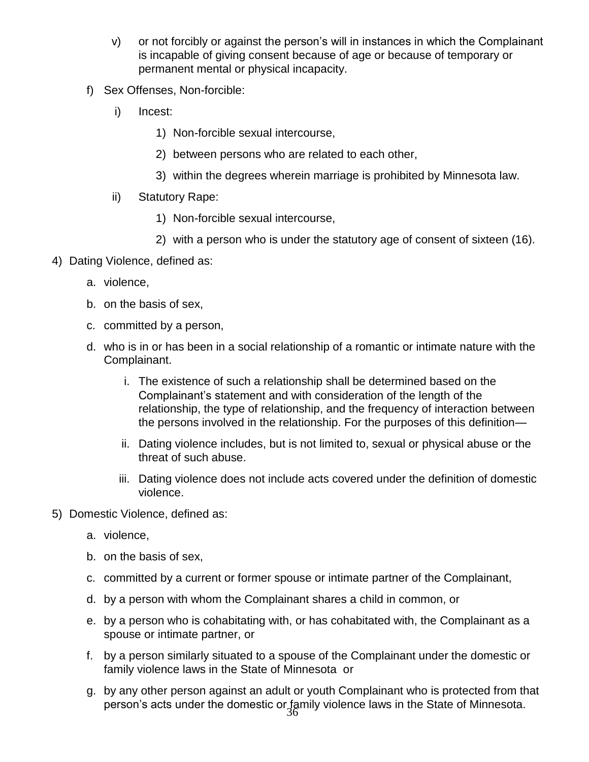- v) or not forcibly or against the person's will in instances in which the Complainant is incapable of giving consent because of age or because of temporary or permanent mental or physical incapacity.
- f) Sex Offenses, Non-forcible:
	- i) Incest:
		- 1) Non-forcible sexual intercourse,
		- 2) between persons who are related to each other,
		- 3) within the degrees wherein marriage is prohibited by Minnesota law.
	- ii) Statutory Rape:
		- 1) Non-forcible sexual intercourse,
		- 2) with a person who is under the statutory age of consent of sixteen (16).
- 4) Dating Violence, defined as:
	- a. violence,
	- b. on the basis of sex,
	- c. committed by a person,
	- d. who is in or has been in a social relationship of a romantic or intimate nature with the Complainant.
		- i. The existence of such a relationship shall be determined based on the Complainant's statement and with consideration of the length of the relationship, the type of relationship, and the frequency of interaction between the persons involved in the relationship. For the purposes of this definition—
		- ii. Dating violence includes, but is not limited to, sexual or physical abuse or the threat of such abuse.
		- iii. Dating violence does not include acts covered under the definition of domestic violence.
- 5) Domestic Violence, defined as:
	- a. violence,
	- b. on the basis of sex,
	- c. committed by a current or former spouse or intimate partner of the Complainant,
	- d. by a person with whom the Complainant shares a child in common, or
	- e. by a person who is cohabitating with, or has cohabitated with, the Complainant as a spouse or intimate partner, or
	- f. by a person similarly situated to a spouse of the Complainant under the domestic or family violence laws in the State of Minnesota or
	- person's acts under the domestic or family violence laws in the State of Minnesota. g. by any other person against an adult or youth Complainant who is protected from that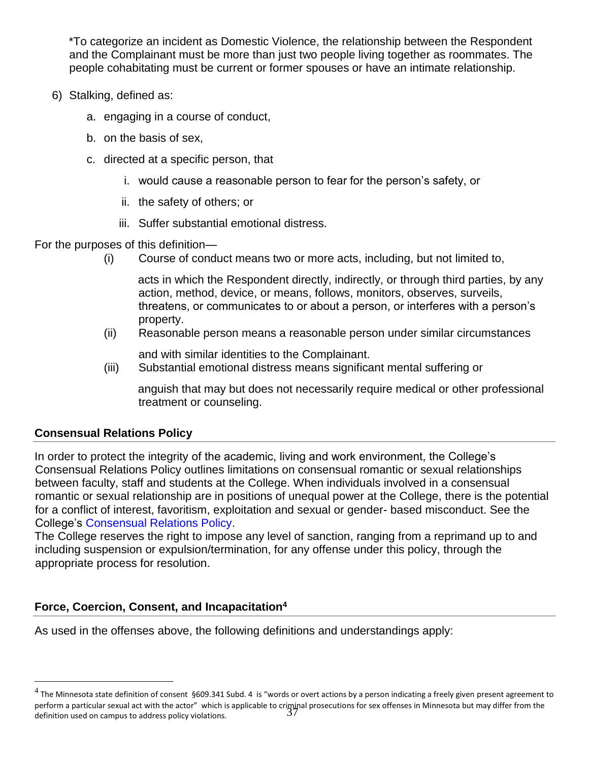\*To categorize an incident as Domestic Violence, the relationship between the Respondent and the Complainant must be more than just two people living together as roommates. The people cohabitating must be current or former spouses or have an intimate relationship.

- 6) Stalking, defined as:
	- a. engaging in a course of conduct,
	- b. on the basis of sex,
	- c. directed at a specific person, that
		- i. would cause a reasonable person to fear for the person's safety, or
		- ii. the safety of others; or
		- iii. Suffer substantial emotional distress.

For the purposes of this definition—

(i) Course of conduct means two or more acts, including, but not limited to,

acts in which the Respondent directly, indirectly, or through third parties, by any action, method, device, or means, follows, monitors, observes, surveils, threatens, or communicates to or about a person, or interferes with a person's property.

(ii) Reasonable person means a reasonable person under similar circumstances

and with similar identities to the Complainant.

(iii) Substantial emotional distress means significant mental suffering or

anguish that may but does not necessarily require medical or other professional treatment or counseling.

#### **Consensual Relations Policy**

 $\overline{a}$ 

In order to protect the integrity of the academic, living and work environment, the College's Consensual Relations Policy outlines limitations on consensual romantic or sexual relationships between faculty, staff and students at the College. When individuals involved in a consensual romantic or sexual relationship are in positions of unequal power at the College, there is the potential for a conflict of interest, favoritism, exploitation and sexual or gender- based misconduct. See the College's [Consensual Relations Policy](https://drive.google.com/file/d/1QjU6sq2J1YzqAvG9eqhnxNTedRHNLnmq/view)[.](https://resources.css.edu/hr/cor/2014%20staff%20handbook%20final.pdf)

The College reserves the right to impose any level of sanction, ranging from a reprimand up to and including suspension or expulsion/termination, for any offense under this policy, through the appropriate process for resolution.

#### **Force, Coercion, Consent, and Incapacitation<sup>4</sup>**

As used in the offenses above, the following definitions and understandings apply:

perform a particular sexual act with the actor" which is applicable to criminal prosecutions for sex offenses in Minnesota but may differ from the definition used on campus to address policy violations.  $^4$  The Minnesota state definition of consent §609.341 Subd. 4 is "words or overt actions by a person indicating a freely given present agreement to definition used on campus to address policy violations.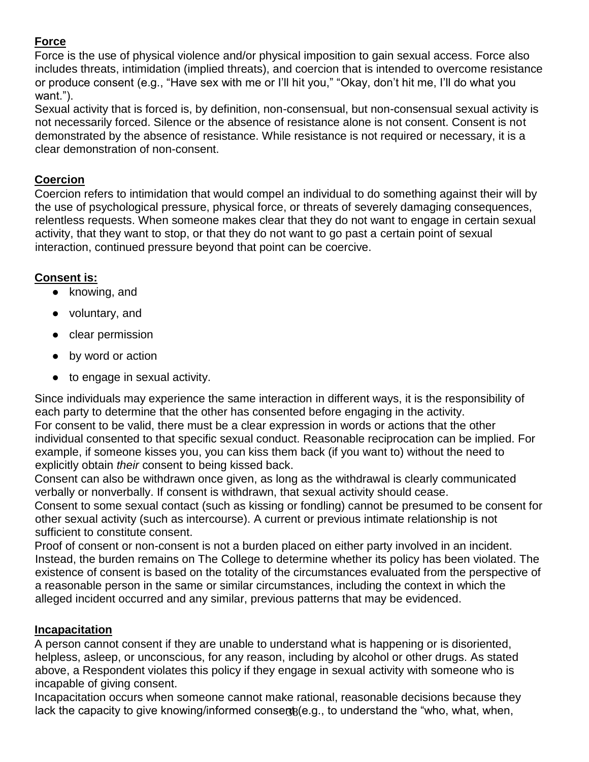# **Force**

Force is the use of physical violence and/or physical imposition to gain sexual access. Force also includes threats, intimidation (implied threats), and coercion that is intended to overcome resistance or produce consent (e.g., "Have sex with me or I'll hit you," "Okay, don't hit me, I'll do what you want.").

Sexual activity that is forced is, by definition, non-consensual, but non-consensual sexual activity is not necessarily forced. Silence or the absence of resistance alone is not consent. Consent is not demonstrated by the absence of resistance. While resistance is not required or necessary, it is a clear demonstration of non-consent.

# **Coercion**

Coercion refers to intimidation that would compel an individual to do something against their will by the use of psychological pressure, physical force, or threats of severely damaging consequences, relentless requests. When someone makes clear that they do not want to engage in certain sexual activity, that they want to stop, or that they do not want to go past a certain point of sexual interaction, continued pressure beyond that point can be coercive.

# **Consent is:**

- knowing, and
- voluntary, and
- clear permission
- by word or action
- to engage in sexual activity.

Since individuals may experience the same interaction in different ways, it is the responsibility of each party to determine that the other has consented before engaging in the activity. For consent to be valid, there must be a clear expression in words or actions that the other individual consented to that specific sexual conduct. Reasonable reciprocation can be implied. For example, if someone kisses you, you can kiss them back (if you want to) without the need to explicitly obtain *their* consent to being kissed back.

Consent can also be withdrawn once given, as long as the withdrawal is clearly communicated verbally or nonverbally. If consent is withdrawn, that sexual activity should cease.

Consent to some sexual contact (such as kissing or fondling) cannot be presumed to be consent for other sexual activity (such as intercourse). A current or previous intimate relationship is not sufficient to constitute consent.

Proof of consent or non-consent is not a burden placed on either party involved in an incident. Instead, the burden remains on The College to determine whether its policy has been violated. The existence of consent is based on the totality of the circumstances evaluated from the perspective of a reasonable person in the same or similar circumstances, including the context in which the alleged incident occurred and any similar, previous patterns that may be evidenced.

#### **Incapacitation**

A person cannot consent if they are unable to understand what is happening or is disoriented, helpless, asleep, or unconscious, for any reason, including by alcohol or other drugs. As stated above, a Respondent violates this policy if they engage in sexual activity with someone who is incapable of giving consent.

lack the capacity to give knowing/informed conserts(e.g., to understand the "who, what, when, Incapacitation occurs when someone cannot make rational, reasonable decisions because they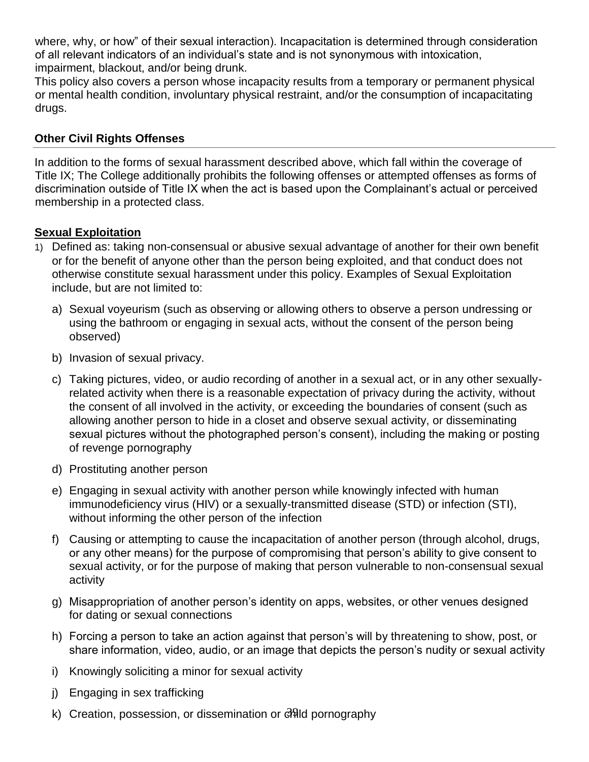where, why, or how" of their sexual interaction). Incapacitation is determined through consideration of all relevant indicators of an individual's state and is not synonymous with intoxication, impairment, blackout, and/or being drunk.

This policy also covers a person whose incapacity results from a temporary or permanent physical or mental health condition, involuntary physical restraint, and/or the consumption of incapacitating drugs.

### **Other Civil Rights Offenses**

In addition to the forms of sexual harassment described above, which fall within the coverage of Title IX; The College additionally prohibits the following offenses or attempted offenses as forms of discrimination outside of Title IX when the act is based upon the Complainant's actual or perceived membership in a protected class.

# **Sexual Exploitation**

- 1) Defined as: taking non-consensual or abusive sexual advantage of another for their own benefit or for the benefit of anyone other than the person being exploited, and that conduct does not otherwise constitute sexual harassment under this policy. Examples of Sexual Exploitation include, but are not limited to:
	- a) Sexual voyeurism (such as observing or allowing others to observe a person undressing or using the bathroom or engaging in sexual acts, without the consent of the person being observed)
	- b) Invasion of sexual privacy.
	- c) Taking pictures, video, or audio recording of another in a sexual act, or in any other sexuallyrelated activity when there is a reasonable expectation of privacy during the activity, without the consent of all involved in the activity, or exceeding the boundaries of consent (such as allowing another person to hide in a closet and observe sexual activity, or disseminating sexual pictures without the photographed person's consent), including the making or posting of revenge pornography
	- d) Prostituting another person
	- e) Engaging in sexual activity with another person while knowingly infected with human immunodeficiency virus (HIV) or a sexually-transmitted disease (STD) or infection (STI), without informing the other person of the infection
	- f) Causing or attempting to cause the incapacitation of another person (through alcohol, drugs, or any other means) for the purpose of compromising that person's ability to give consent to sexual activity, or for the purpose of making that person vulnerable to non-consensual sexual activity
	- g) Misappropriation of another person's identity on apps, websites, or other venues designed for dating or sexual connections
	- h) Forcing a person to take an action against that person's will by threatening to show, post, or share information, video, audio, or an image that depicts the person's nudity or sexual activity
	- i) Knowingly soliciting a minor for sexual activity
	- j) Engaging in sex trafficking
	- k) Creation, possession, or dissemination or c<sup>ord</sup>id pornography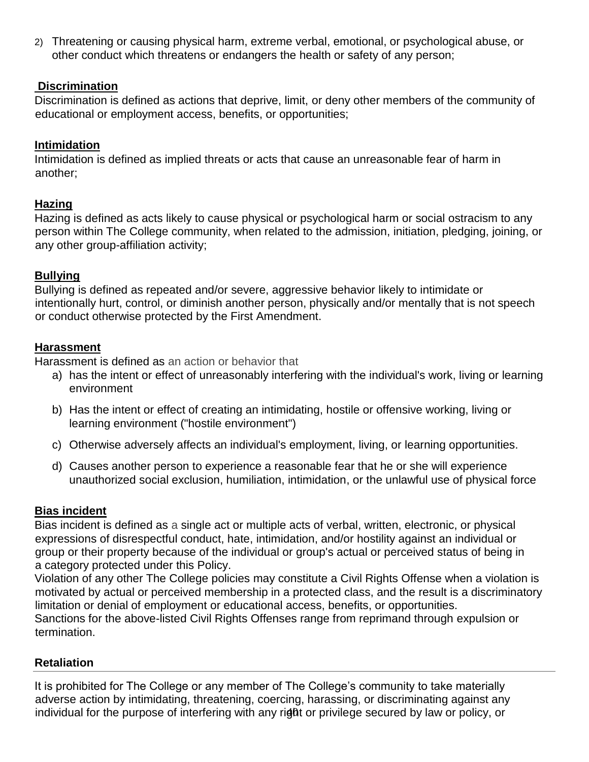2) Threatening or causing physical harm, extreme verbal, emotional, or psychological abuse, or other conduct which threatens or endangers the health or safety of any person;

#### **Discrimination**

Discrimination is defined as actions that deprive, limit, or deny other members of the community of educational or employment access, benefits, or opportunities;

# **Intimidation**

Intimidation is defined as implied threats or acts that cause an unreasonable fear of harm in another;

#### **Hazing**

Hazing is defined as acts likely to cause physical or psychological harm or social ostracism to any person within The College community, when related to the admission, initiation, pledging, joining, or any other group-affiliation activity;

# **Bullying**

Bullying is defined as repeated and/or severe, aggressive behavior likely to intimidate or intentionally hurt, control, or diminish another person, physically and/or mentally that is not speech or conduct otherwise protected by the First Amendment.

# **Harassment**

Harassment is defined as an action or behavior that

- a) has the intent or effect of unreasonably interfering with the individual's work, living or learning environment
- b) Has the intent or effect of creating an intimidating, hostile or offensive working, living or learning environment ("hostile environment")
- c) Otherwise adversely affects an individual's employment, living, or learning opportunities.
- d) Causes another person to experience a reasonable fear that he or she will experience unauthorized social exclusion, humiliation, intimidation, or the unlawful use of physical force

#### **Bias incident**

Bias incident is defined as a single act or multiple acts of verbal, written, electronic, or physical expressions of disrespectful conduct, hate, intimidation, and/or hostility against an individual or group or their property because of the individual or group's actual or perceived status of being in a category protected under this Policy.

Violation of any other The College policies may constitute a Civil Rights Offense when a violation is motivated by actual or perceived membership in a protected class, and the result is a discriminatory limitation or denial of employment or educational access, benefits, or opportunities. Sanctions for the above-listed Civil Rights Offenses range from reprimand through expulsion or termination.

# **Retaliation**

individual for the purpose of interfering with any right or privilege secured by law or policy, or It is prohibited for The College or any member of The College's community to take materially adverse action by intimidating, threatening, coercing, harassing, or discriminating against any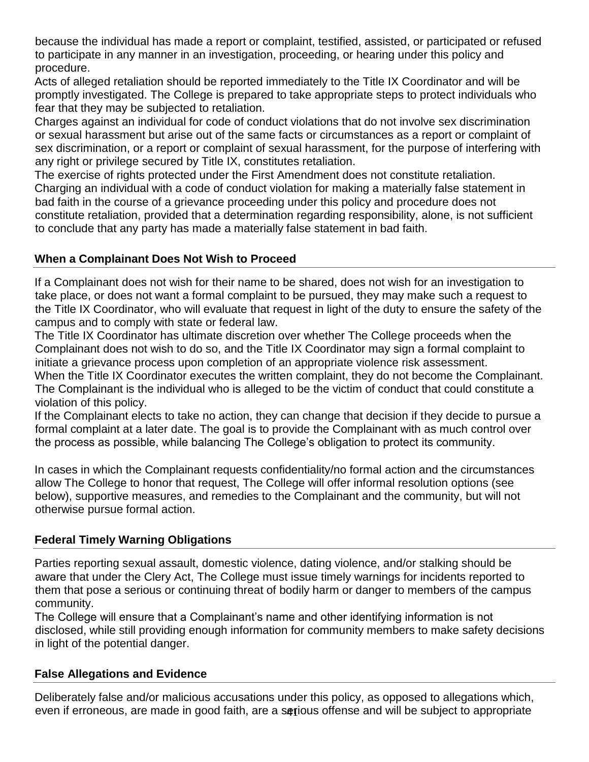because the individual has made a report or complaint, testified, assisted, or participated or refused to participate in any manner in an investigation, proceeding, or hearing under this policy and procedure.

Acts of alleged retaliation should be reported immediately to the Title IX Coordinator and will be promptly investigated. The College is prepared to take appropriate steps to protect individuals who fear that they may be subjected to retaliation.

Charges against an individual for code of conduct violations that do not involve sex discrimination or sexual harassment but arise out of the same facts or circumstances as a report or complaint of sex discrimination, or a report or complaint of sexual harassment, for the purpose of interfering with any right or privilege secured by Title IX, constitutes retaliation.

The exercise of rights protected under the First Amendment does not constitute retaliation. Charging an individual with a code of conduct violation for making a materially false statement in bad faith in the course of a grievance proceeding under this policy and procedure does not constitute retaliation, provided that a determination regarding responsibility, alone, is not sufficient to conclude that any party has made a materially false statement in bad faith.

# **When a Complainant Does Not Wish to Proceed**

If a Complainant does not wish for their name to be shared, does not wish for an investigation to take place, or does not want a formal complaint to be pursued, they may make such a request to the Title IX Coordinator, who will evaluate that request in light of the duty to ensure the safety of the campus and to comply with state or federal law.

The Title IX Coordinator has ultimate discretion over whether The College proceeds when the Complainant does not wish to do so, and the Title IX Coordinator may sign a formal complaint to initiate a grievance process upon completion of an appropriate violence risk assessment. When the Title IX Coordinator executes the written complaint, they do not become the Complainant. The Complainant is the individual who is alleged to be the victim of conduct that could constitute a violation of this policy.

If the Complainant elects to take no action, they can change that decision if they decide to pursue a formal complaint at a later date. The goal is to provide the Complainant with as much control over the process as possible, while balancing The College's obligation to protect its community.

In cases in which the Complainant requests confidentiality/no formal action and the circumstances allow The College to honor that request, The College will offer informal resolution options (see below), supportive measures, and remedies to the Complainant and the community, but will not otherwise pursue formal action.

# **Federal Timely Warning Obligations**

Parties reporting sexual assault, domestic violence, dating violence, and/or stalking should be aware that under the Clery Act, The College must issue timely warnings for incidents reported to them that pose a serious or continuing threat of bodily harm or danger to members of the campus community.

The College will ensure that a Complainant's name and other identifying information is not disclosed, while still providing enough information for community members to make safety decisions in light of the potential danger.

#### **False Allegations and Evidence**

even if erroneous, are made in good faith, are a setious offense and will be subject to appropriate Deliberately false and/or malicious accusations under this policy, as opposed to allegations which,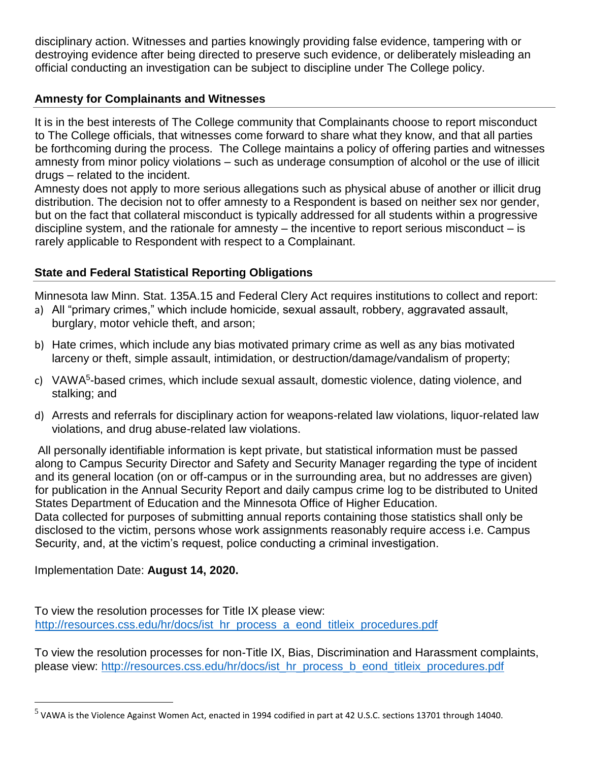disciplinary action. Witnesses and parties knowingly providing false evidence, tampering with or destroying evidence after being directed to preserve such evidence, or deliberately misleading an official conducting an investigation can be subject to discipline under The College policy.

### **Amnesty for Complainants and Witnesses**

It is in the best interests of The College community that Complainants choose to report misconduct to The College officials, that witnesses come forward to share what they know, and that all parties be forthcoming during the process. The College maintains a policy of offering parties and witnesses amnesty from minor policy violations – such as underage consumption of alcohol or the use of illicit drugs – related to the incident.

Amnesty does not apply to more serious allegations such as physical abuse of another or illicit drug distribution. The decision not to offer amnesty to a Respondent is based on neither sex nor gender, but on the fact that collateral misconduct is typically addressed for all students within a progressive discipline system, and the rationale for amnesty  $-$  the incentive to report serious misconduct  $-$  is rarely applicable to Respondent with respect to a Complainant.

# **State and Federal Statistical Reporting Obligations**

Minnesota law Minn. Stat. 135A.15 and Federal Clery Act requires institutions to collect and report:

- a) All "primary crimes," which include homicide, sexual assault, robbery, aggravated assault, burglary, motor vehicle theft, and arson;
- b) Hate crimes, which include any bias motivated primary crime as well as any bias motivated larceny or theft, simple assault, intimidation, or destruction/damage/vandalism of property;
- c) VAWA<sup>5</sup>-based crimes, which include sexual assault, domestic violence, dating violence, and stalking; and
- d) Arrests and referrals for disciplinary action for weapons-related law violations, liquor-related law violations, and drug abuse-related law violations.

All personally identifiable information is kept private, but statistical information must be passed along to Campus Security Director and Safety and Security Manager regarding the type of incident and its general location (on or off-campus or in the surrounding area, but no addresses are given) for publication in the Annual Security Report and daily campus crime log to be distributed to United States Department of Education and the Minnesota Office of Higher Education. Data collected for purposes of submitting annual reports containing those statistics shall only be disclosed to the victim, persons whose work assignments reasonably require access i.e. Campus Security, and, at the victim's request, police conducting a criminal investigation.

Implementation Date: **August 14, 2020.**

 $\overline{a}$ 

To view the resolution processes for Title IX please view: [http://resources.css.edu/hr/docs/ist\\_hr\\_process\\_a\\_eond\\_titleix\\_procedures.pdf](http://resources.css.edu/hr/docs/ist_hr_process_a_eond_titleix_procedures.pdf)

To view the resolution processes for non-Title IX, Bias, Discrimination and Harassment complaints, please view: [http://resources.css.edu/hr/docs/ist\\_hr\\_process\\_b\\_eond\\_titleix\\_procedures.pdf](http://resources.css.edu/hr/docs/ist_hr_process_b_eond_titleix_procedures.pdf)

<sup>&</sup>lt;sup>5</sup> VAWA is the Violence Against Women Act, enacted in 1994 codified in part at 42 U.S.C. sections 13701 through 14040.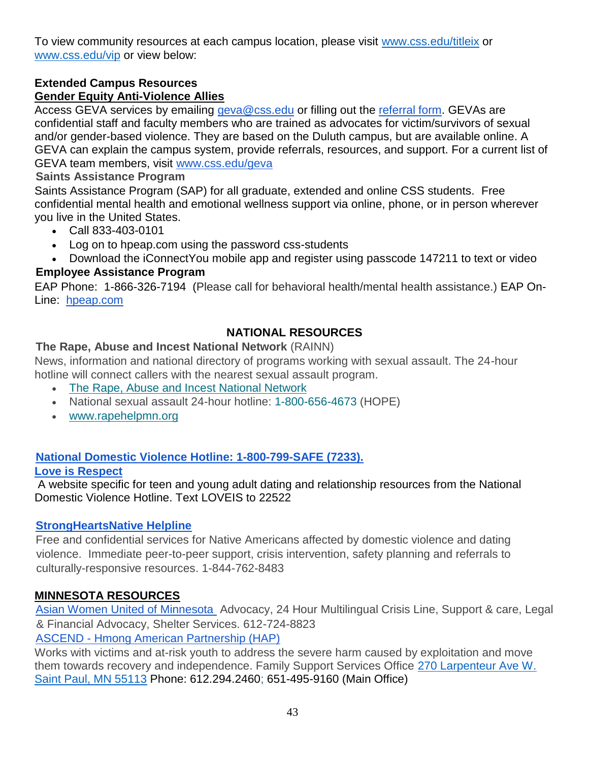To view community resources at each campus location, please visit [www.css.edu/titleix](http://www.css.edu/titleix) or [www.css.edu/vip](http://www.css.edu/vip) or view below:

#### **Extended Campus Resources Gender Equity Anti-Violence Allies**

Access GEVA services by emailing [geva@css.edu](mailto:geva@css.edu) or filling out the [referral form.](https://forms.gle/aBFZJpH4ru3tpcPC6) GEVAs are confidential staff and faculty members who are trained as advocates for victim/survivors of sexual and/or gender-based violence. They are based on the Duluth campus, but are available online. A GEVA can explain the campus system, provide referrals, resources, and support. For a current list of GEVA team members, visit [www.css.edu/geva](http://www.css.edu/geva)

# **Saints Assistance Program**

Saints Assistance Program (SAP) for all graduate, extended and online CSS students. Free confidential mental health and emotional wellness support via online, phone, or in person wherever you live in the United States.

- Call 833-403-0101
- Log on to hpeap.com using the password css-students
- Download the iConnectYou mobile app and register using passcode 147211 to text or video

# **Employee Assistance Program**

EAP Phone: 1-866-326-7194 (Please call for behavioral health/mental health assistance.) EAP On-Line: [hpeap.com](http://hpeap.com/)

# **NATIONAL RESOURCES**

# **The Rape, Abuse and Incest National Network** (RAINN)

News, information and national directory of programs working with sexual assault. The 24-hour hotline will connect callers with the nearest sexual assault program.

- [The Rape, Abuse and Incest National Network](https://rainn.org/)
- National sexual assault 24-hour hotline: 1-800-656-4673 (HOPE)
- [www.rapehelpmn.org](http://www.rapehelpmn.org/)

# **[National Domestic Violence Hotline: 1-800-799-SAFE \(7233\).](https://www.thehotline.org/)**

#### **[Love is Respect](https://www.loveisrespect.org/)**

A website specific for teen and young adult dating and relationship resources from the National Domestic Violence Hotline. Text LOVEIS to 22522

#### **[StrongHeartsNative Helpline](https://www.strongheartshelpline.org/)**

Free and confidential services for Native Americans affected by domestic violence and dating violence. Immediate peer-to-peer support, crisis intervention, safety planning and referrals to culturally-responsive resources. 1-844-762-8483

#### **MINNESOTA RESOURCES**

[Asian Women United of Minnesota](https://www.awum.org/) Advocacy, 24 Hour Multilingual Crisis Line, Support & care, Legal & Financial Advocacy, Shelter Services. 612-724-8823

ASCEND - [Hmong American Partnership \(HAP\)](https://www.hmong.org/)

Works with victims and at-risk youth to address the severe harm caused by exploitation and move them towards recovery and independence. Family Support Services Office [270 Larpenteur Ave W.](https://goo.gl/maps/S8UXhGeVutf64fAQA)  [Saint Paul, MN 55113](https://goo.gl/maps/S8UXhGeVutf64fAQA) Phone: 612.294.2460; 651-495-9160 (Main Office)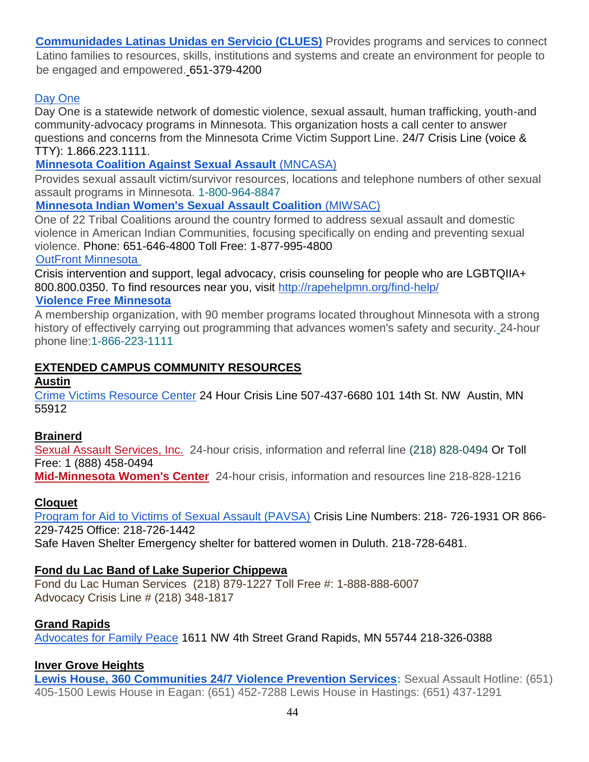**[Communidades Latinas Unidas en Servicio \(CLUES\)](http://www.clues.org/)** Provides programs and services to connect Latino families to resources, skills, institutions and systems and create an environment for people to be engaged and empowered. 651-379-4200

# [Day One](http://www.dayoneservices.org/about-us/)

Day One is a statewide network of domestic violence, sexual assault, human trafficking, youth-and community-advocacy programs in Minnesota. This organization hosts a call center to answer questions and concerns from the Minnesota Crime Victim Support Line. 24/7 Crisis Line (voice & TTY): 1.866.223.1111.

# **[Minnesota Coalition Against Sexual Assault](https://www.mncasa.org/find-help/)** (MNCASA)

Provides sexual assault victim/survivor resources, locations and telephone numbers of other sexual assault programs in Minnesota. 1-800-964-8847

# **[Minnesota Indian Women's Sexual Assault Coalition](https://www.miwsac.org/)** (MIWSAC)

One of 22 Tribal Coalitions around the country formed to address sexual assault and domestic violence in American Indian Communities, focusing specifically on ending and preventing sexual violence. Phone: 651-646-4800 Toll Free: 1-877-995-4800

[OutFront Minnesota](https://www.outfront.org/crisis-anti-violence)

Crisis intervention and support, legal advocacy, crisis counseling for people who are LGBTQIIA+ 800.800.0350. To find resources near you, visit<http://rapehelpmn.org/find-help/>

#### **[Violence Free Minnesota](https://www.vfmn.org/)**

A membership organization, with 90 member programs located throughout Minnesota with a strong history of effectively carrying out programming that advances women's safety and security. 24-hour phone line:1-866-223-1111

# **EXTENDED CAMPUS COMMUNITY RESOURCES**

**Austin**

[Crime Victims Resource Center](http://www.crimevictimsresourcecenter.org/) 24 Hour Crisis Line 507-437-6680 101 14th St. NW Austin, MN 55912

# **Brainerd**

[Sexual Assault Services, Inc.](http://www.sasmn.org/) 24-hour crisis, information and referral line (218) 828-0494 Or Toll Free: 1 (888) 458-0494

**[Mid-Minnesota Women's Center](http://midminwomenscenter.blogspot.com/)** 24-hour crisis, information and resources line 218-828-1216

# **Cloquet**

[Program for Aid to Victims of Sexual Assault \(PAVSA\)](https://pavsa.org/) Crisis Line Numbers: 218- 726-1931 OR 866- 229-7425 Office: 218-726-1442 Safe Haven Shelter Emergency shelter for battered women in Duluth. 218-728-6481.

# **Fond du Lac Band of Lake Superior Chippewa**

Fond du Lac Human Services (218) 879-1227 Toll Free #: 1-888-888-6007 Advocacy Crisis Line # (218) 348-1817

# **Grand Rapids**

[Advocates for Family Peace](https://stopdomesticabuse.org/) 1611 NW 4th Street Grand Rapids, MN 55744 218-326-0388

# **Inver Grove Heights**

**[Lewis House, 360 Communities 24/7 Violence Prevention Services:](https://360communities.org/violence-prevention/lewis-house/)** Sexual Assault Hotline: (651) 405-1500 Lewis House in Eagan: (651) 452-7288 Lewis House in Hastings: (651) 437-1291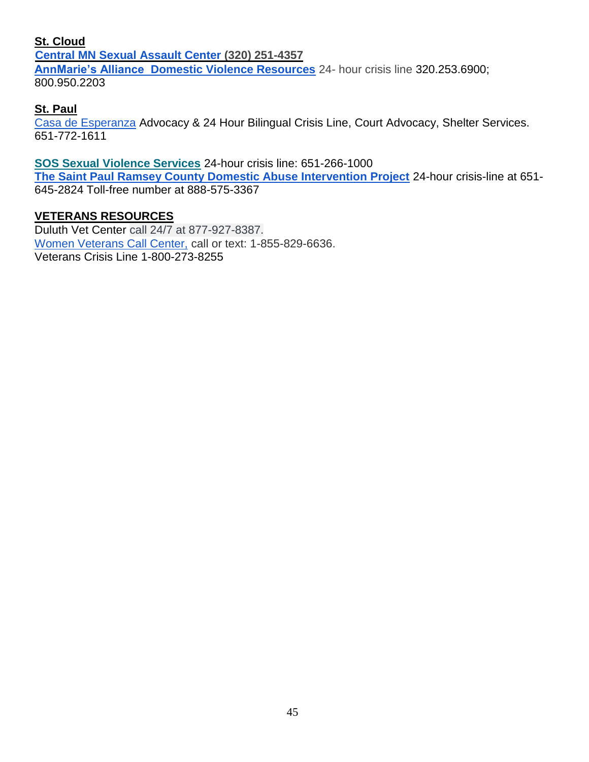#### **St. Cloud**

**[Central MN Sexual](https://cmsac.org/) Assault Center (320) 251-4357 AnnMarie's Alliance [Domestic Violence Resources](https://www.annamaries.org/)** 24- hour crisis line 320.253.6900; 800.950.2203

# **St. Paul**

[Casa de Esperanza](https://casadeesperanza.org/) Advocacy & 24 Hour Bilingual Crisis Line, Court Advocacy, Shelter Services. 651-772-1611

**[SOS Sexual Violence Services](https://www.ramseycounty.us/residents/health-medical/clinics-services/sos-sexual-violence-services)** 24-hour crisis line: 651-266-1000 **[The Saint Paul Ramsey County Domestic Abuse Intervention Project](https://www.stpaulintervention.org/)** 24-hour crisis-line at 651- 645-2824 Toll-free number at 888-575-3367

# **VETERANS RESOURCES**

Duluth Vet Center call 24/7 at 877-927-8387. [Women Veterans Call Center,](https://www.womenshealth.va.gov/WOMENSHEALTH/ProgramOverview/wvcc.asp) call or text: 1-855-829-6636. Veterans Crisis Line 1-800-273-8255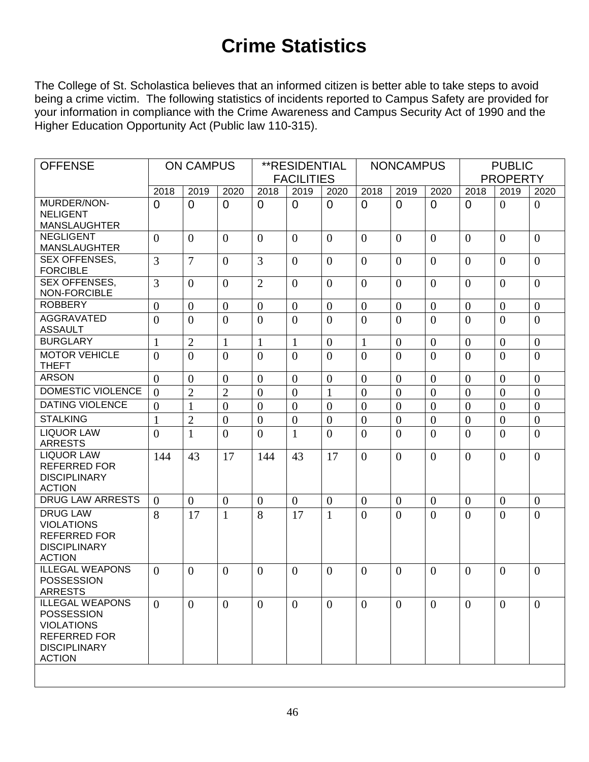# **Crime Statistics**

The College of St. Scholastica believes that an informed citizen is better able to take steps to avoid being a crime victim. The following statistics of incidents reported to Campus Safety are provided for your information in compliance with the Crime Awareness and Campus Security Act of 1990 and the Higher Education Opportunity Act (Public law 110-315).

| <b>OFFENSE</b>                                                                                                           | <b>ON CAMPUS</b> |                  | **RESIDENTIAL     |                |                  |                | <b>NONCAMPUS</b> |                  | <b>PUBLIC</b>   |                |                  |                  |
|--------------------------------------------------------------------------------------------------------------------------|------------------|------------------|-------------------|----------------|------------------|----------------|------------------|------------------|-----------------|----------------|------------------|------------------|
|                                                                                                                          |                  |                  | <b>FACILITIES</b> |                |                  |                |                  |                  | <b>PROPERTY</b> |                |                  |                  |
|                                                                                                                          | 2018             | 2019             | 2020              | 2018           | 2019             | 2020           | 2018             | 2019             | 2020            | 2018           | 2019             | 2020             |
| MURDER/NON-<br><b>NELIGENT</b>                                                                                           | $\Omega$         | $\Omega$         | $\Omega$          | $\overline{0}$ | $\Omega$         | $\overline{0}$ | $\Omega$         | $\overline{0}$   | $\Omega$        | $\Omega$       | $\Omega$         | $\overline{0}$   |
| <b>MANSLAUGHTER</b>                                                                                                      |                  |                  |                   |                |                  |                |                  |                  |                 |                |                  |                  |
| <b>NEGLIGENT</b>                                                                                                         | $\overline{0}$   | $\theta$         | $\theta$          | $\theta$       | $\theta$         | $\theta$       | $\overline{0}$   | $\overline{0}$   | $\Omega$        | $\Omega$       | $\theta$         | $\overline{0}$   |
| <b>MANSLAUGHTER</b>                                                                                                      |                  |                  |                   |                |                  |                |                  |                  |                 |                |                  |                  |
| SEX OFFENSES,<br><b>FORCIBLE</b>                                                                                         | $\overline{3}$   | $\overline{7}$   | $\theta$          | $\overline{3}$ | $\overline{0}$   | $\Omega$       | $\overline{0}$   | $\overline{0}$   | $\Omega$        | $\Omega$       | $\theta$         | $\overline{0}$   |
| SEX OFFENSES,<br><b>NON-FORCIBLE</b>                                                                                     | $\overline{3}$   | $\theta$         | $\overline{0}$    | $\overline{2}$ | $\overline{0}$   | $\theta$       | $\overline{0}$   | $\Omega$         | $\Omega$        | $\Omega$       | $\theta$         | $\theta$         |
| <b>ROBBERY</b>                                                                                                           | $\overline{0}$   | $\overline{0}$   | $\overline{0}$    | $\mathbf{0}$   | $\overline{0}$   | $\overline{0}$ | $\overline{0}$   | $\mathbf{0}$     | $\overline{0}$  | $\overline{0}$ | $\overline{0}$   | $\overline{0}$   |
| <b>AGGRAVATED</b><br><b>ASSAULT</b>                                                                                      | $\theta$         | $\overline{0}$   | $\overline{0}$    | $\overline{0}$ | $\overline{0}$   | $\theta$       | $\overline{0}$   | $\overline{0}$   | $\theta$        | $\Omega$       | $\theta$         | $\overline{0}$   |
| <b>BURGLARY</b>                                                                                                          | $\mathbf{1}$     | $\overline{2}$   | $\mathbf{1}$      | $\mathbf{1}$   | $\mathbf{1}$     | $\overline{0}$ | $\mathbf{1}$     | $\boldsymbol{0}$ | $\overline{0}$  | $\overline{0}$ | $\mathbf{0}$     | $\overline{0}$   |
| <b>MOTOR VEHICLE</b><br><b>THEFT</b>                                                                                     | $\theta$         | $\theta$         | $\theta$          | $\overline{0}$ | $\theta$         | $\theta$       | $\overline{0}$   | $\theta$         | $\theta$        | $\theta$       | $\Omega$         | $\overline{0}$   |
| <b>ARSON</b>                                                                                                             | $\overline{0}$   | $\boldsymbol{0}$ | $\mathbf{0}$      | $\mathbf{0}$   | $\overline{0}$   | $\theta$       | $\overline{0}$   | $\overline{0}$   | $\overline{0}$  | $\overline{0}$ | $\overline{0}$   | $\overline{0}$   |
| DOMESTIC VIOLENCE                                                                                                        | $\theta$         | $\overline{2}$   | $\overline{2}$    | $\overline{0}$ | $\overline{0}$   | $\mathbf{1}$   | $\overline{0}$   | $\overline{0}$   | $\overline{0}$  | $\overline{0}$ | $\theta$         | $\overline{0}$   |
| <b>DATING VIOLENCE</b>                                                                                                   | $\overline{0}$   | 1                | $\overline{0}$    | $\overline{0}$ | $\overline{0}$   | $\overline{0}$ | $\overline{0}$   | $\overline{0}$   | $\overline{0}$  | $\overline{0}$ | $\theta$         | $\theta$         |
| <b>STALKING</b>                                                                                                          | $\mathbf{1}$     | $\overline{2}$   | $\boldsymbol{0}$  | $\overline{0}$ | $\boldsymbol{0}$ | $\overline{0}$ | $\overline{0}$   | $\overline{0}$   | $\overline{0}$  | $\overline{0}$ | $\overline{0}$   | $\boldsymbol{0}$ |
| <b>LIQUOR LAW</b><br><b>ARRESTS</b>                                                                                      | $\theta$         | $\mathbf{1}$     | $\overline{0}$    | $\overline{0}$ | $\mathbf{1}$     | $\overline{0}$ | $\overline{0}$   | $\theta$         | $\theta$        | $\theta$       | $\theta$         | $\overline{0}$   |
| <b>LIQUOR LAW</b><br><b>REFERRED FOR</b><br><b>DISCIPLINARY</b><br><b>ACTION</b>                                         | 144              | 43               | 17                | 144            | 43               | 17             | $\overline{0}$   | $\Omega$         | $\theta$        | $\theta$       | $\theta$         | $\overline{0}$   |
| <b>DRUG LAW ARRESTS</b>                                                                                                  | $\overline{0}$   | $\overline{0}$   | $\boldsymbol{0}$  | $\overline{0}$ | $\overline{0}$   | $\overline{0}$ | $\overline{0}$   | $\overline{0}$   | $\overline{0}$  | $\mathbf{0}$   | $\boldsymbol{0}$ | $\mathbf{0}$     |
| <b>DRUG LAW</b><br><b>VIOLATIONS</b><br><b>REFERRED FOR</b><br><b>DISCIPLINARY</b><br><b>ACTION</b>                      | 8                | 17               | $\mathbf{1}$      | 8              | 17               | $\mathbf{1}$   | $\theta$         | $\theta$         | $\theta$        | $\theta$       | $\theta$         | $\overline{0}$   |
| <b>ILLEGAL WEAPONS</b><br><b>POSSESSION</b><br><b>ARRESTS</b>                                                            | $\theta$         | $\theta$         | $\overline{0}$    | $\overline{0}$ | $\overline{0}$   | $\theta$       | $\overline{0}$   | $\overline{0}$   | $\theta$        | $\Omega$       | $\overline{0}$   | $\theta$         |
| <b>ILLEGAL WEAPONS</b><br><b>POSSESSION</b><br><b>VIOLATIONS</b><br>REFERRED FOR<br><b>DISCIPLINARY</b><br><b>ACTION</b> | $\overline{0}$   | $\overline{0}$   | $\overline{0}$    | $\overline{0}$ | $\overline{0}$   | $\mathbf{0}$   | $\overline{0}$   | $\overline{0}$   | $\overline{0}$  | $\overline{0}$ | $\overline{0}$   | $\overline{0}$   |
|                                                                                                                          |                  |                  |                   |                |                  |                |                  |                  |                 |                |                  |                  |